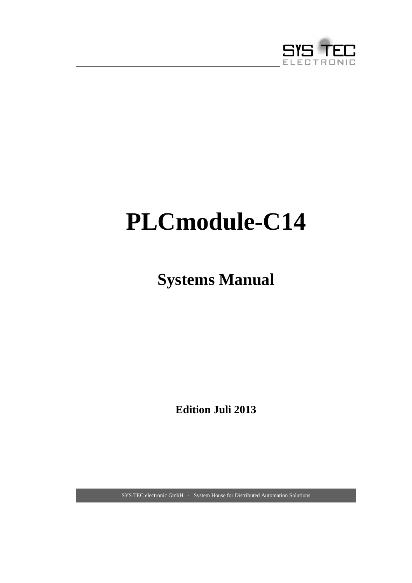

# **PLCmodule-C14**

# **Systems Manual**

**Edition Juli 2013** 

SYS TEC electronic GmbH - System House for Distributed Automation Solutions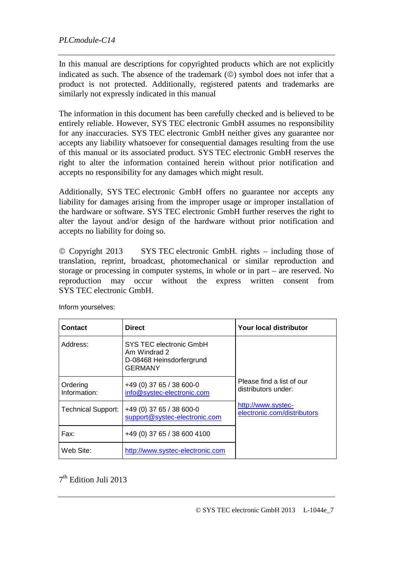In this manual are descriptions for copyrighted products which are not explicitly indicated as such. The absence of the trademark  $(\circledcirc)$  symbol does not infer that a product is not protected. Additionally, registered patents and trademarks are similarly not expressly indicated in this manual

The information in this document has been carefully checked and is believed to be entirely reliable. However, SYS TEC electronic GmbH assumes no responsibility for any inaccuracies. SYS TEC electronic GmbH neither gives any guarantee nor accepts any liability whatsoever for consequential damages resulting from the use of this manual or its associated product. SYS TEC electronic GmbH reserves the right to alter the information contained herein without prior notification and accepts no responsibility for any damages which might result.

Additionally, SYS TEC electronic GmbH offers no guarantee nor accepts any liability for damages arising from the improper usage or improper installation of the hardware or software. SYS TEC electronic GmbH further reserves the right to alter the layout and/or design of the hardware without prior notification and accepts no liability for doing so.

 Copyright 2013 SYS TEC electronic GmbH. rights – including those of translation, reprint, broadcast, photomechanical or similar reproduction and storage or processing in computer systems, in whole or in part – are reserved. No reproduction may occur without the express written consent from SYS TEC electronic GmbH.

| Contact                   | <b>Direct</b>                                                                         | Your local distributor                            |
|---------------------------|---------------------------------------------------------------------------------------|---------------------------------------------------|
| Address:                  | SYS TEC electronic GmbH<br>Am Windrad 2<br>D-08468 Heinsdorfergrund<br><b>GERMANY</b> |                                                   |
| Ordering<br>Information:  | +49 (0) 37 65 / 38 600-0<br>info@systec-electronic.com                                | Please find a list of our<br>distributors under:  |
| <b>Technical Support:</b> | +49 (0) 37 65 / 38 600-0<br>support@systec-electronic.com                             | http://www.systec-<br>electronic.com/distributors |
| Fax:                      | +49 (0) 37 65 / 38 600 4100                                                           |                                                   |
| Web Site:                 | http://www.systec-electronic.com                                                      |                                                   |

Inform yourselves:

7 th Edition Juli 2013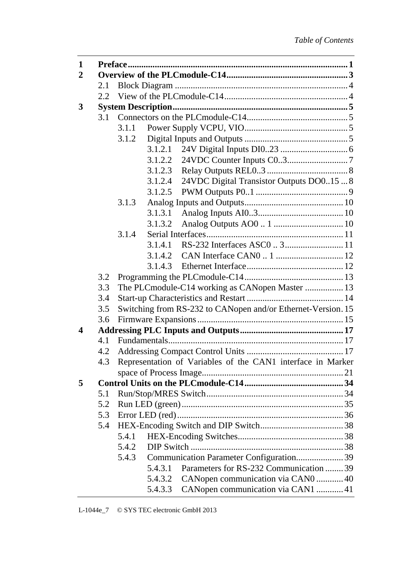| 1                |     |       |         |                                                              |  |
|------------------|-----|-------|---------|--------------------------------------------------------------|--|
| $\mathbf{2}$     |     |       |         |                                                              |  |
|                  | 2.1 |       |         |                                                              |  |
|                  | 2.2 |       |         |                                                              |  |
| 3                |     |       |         |                                                              |  |
|                  | 3.1 |       |         |                                                              |  |
|                  |     | 3.1.1 |         |                                                              |  |
|                  |     | 3.1.2 |         |                                                              |  |
|                  |     |       | 3.1.2.1 |                                                              |  |
|                  |     |       | 3.1.2.2 |                                                              |  |
|                  |     |       | 3.1.2.3 |                                                              |  |
|                  |     |       | 3.1.2.4 | 24VDC Digital Transistor Outputs DO015  8                    |  |
|                  |     |       | 3.1.2.5 |                                                              |  |
|                  |     | 3.1.3 |         |                                                              |  |
|                  |     |       | 3.1.3.1 |                                                              |  |
|                  |     |       | 3.1.3.2 |                                                              |  |
|                  |     | 3.1.4 |         |                                                              |  |
|                  |     |       | 3.1.4.1 |                                                              |  |
|                  |     |       | 3.1.4.2 |                                                              |  |
|                  |     |       | 3.1.4.3 |                                                              |  |
|                  | 3.2 |       |         |                                                              |  |
|                  | 3.3 |       |         | The PLCmodule-C14 working as CANopen Master  13              |  |
|                  | 3.4 |       |         |                                                              |  |
|                  | 3.5 |       |         | Switching from RS-232 to CANopen and/or Ethernet-Version. 15 |  |
|                  | 3.6 |       |         |                                                              |  |
| $\boldsymbol{4}$ |     |       |         |                                                              |  |
|                  | 4.1 |       |         |                                                              |  |
|                  | 4.2 |       |         |                                                              |  |
|                  | 4.3 |       |         | Representation of Variables of the CAN1 interface in Marker  |  |
|                  |     |       |         |                                                              |  |
| 5                |     |       |         |                                                              |  |
|                  | 5.1 |       |         |                                                              |  |
|                  | 5.2 |       |         |                                                              |  |
|                  | 5.3 |       |         |                                                              |  |
|                  | 5.4 |       |         |                                                              |  |
|                  |     | 5.4.1 |         |                                                              |  |
|                  |     | 5.4.2 |         |                                                              |  |
|                  |     | 5.4.3 |         | Communication Parameter Configuration 39                     |  |
|                  |     |       | 5.4.3.1 | Parameters for RS-232 Communication  39                      |  |
|                  |     |       | 5.4.3.2 | CANopen communication via CAN0  40                           |  |
|                  |     |       | 5.4.3.3 | CANopen communication via CAN1 41                            |  |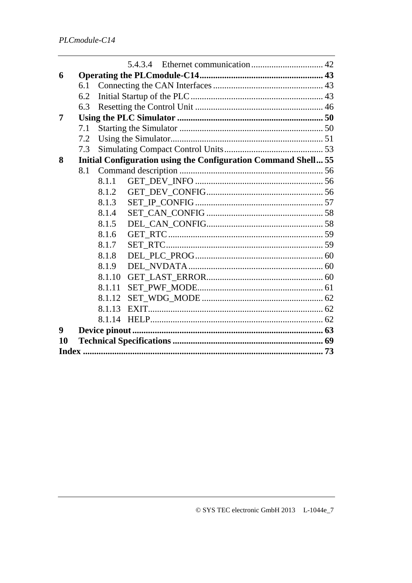| 6                |     |        |                                                                       |  |
|------------------|-----|--------|-----------------------------------------------------------------------|--|
|                  | 6.1 |        |                                                                       |  |
|                  | 6.2 |        |                                                                       |  |
|                  | 6.3 |        |                                                                       |  |
| 7                |     |        |                                                                       |  |
|                  | 7.1 |        |                                                                       |  |
|                  | 7.2 |        |                                                                       |  |
|                  | 7.3 |        |                                                                       |  |
| 8                |     |        | <b>Initial Configuration using the Configuration Command Shell 55</b> |  |
|                  | 8.1 |        |                                                                       |  |
|                  |     | 8.1.1  |                                                                       |  |
|                  |     | 8.1.2  |                                                                       |  |
|                  |     | 8.1.3  |                                                                       |  |
|                  |     | 8.1.4  |                                                                       |  |
|                  |     | 8.1.5  |                                                                       |  |
|                  |     | 8.1.6  |                                                                       |  |
|                  |     | 8.1.7  |                                                                       |  |
|                  |     | 8.1.8  |                                                                       |  |
|                  |     | 8.1.9  |                                                                       |  |
|                  |     | 8.1.10 |                                                                       |  |
|                  |     | 8.1.11 |                                                                       |  |
|                  |     | 8.1.12 |                                                                       |  |
|                  |     | 8.1.13 |                                                                       |  |
|                  |     | 8.1.14 |                                                                       |  |
| $\boldsymbol{9}$ |     |        |                                                                       |  |
| 10               |     |        |                                                                       |  |
|                  |     |        |                                                                       |  |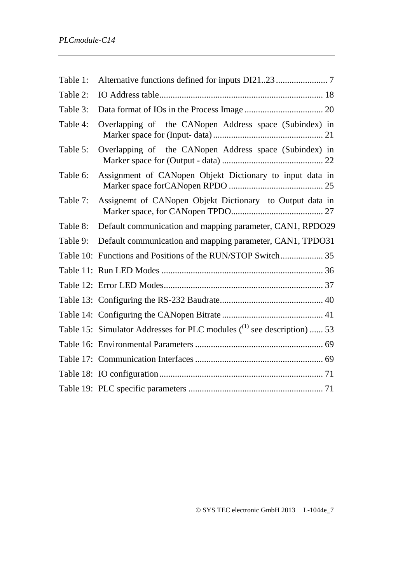| Table 1: |                                                                          |  |
|----------|--------------------------------------------------------------------------|--|
| Table 2: |                                                                          |  |
| Table 3: |                                                                          |  |
| Table 4: | Overlapping of the CANopen Address space (Subindex) in                   |  |
| Table 5: | Overlapping of the CANopen Address space (Subindex) in                   |  |
| Table 6: | Assignment of CANopen Objekt Dictionary to input data in                 |  |
| Table 7: | Assignemt of CANopen Objekt Dictionary to Output data in                 |  |
| Table 8: | Default communication and mapping parameter, CAN1, RPDO29                |  |
| Table 9: | Default communication and mapping parameter, CAN1, TPDO31                |  |
|          |                                                                          |  |
|          |                                                                          |  |
|          |                                                                          |  |
|          |                                                                          |  |
|          |                                                                          |  |
|          | Table 15: Simulator Addresses for PLC modules $(1)$ see description)  53 |  |
|          |                                                                          |  |
|          |                                                                          |  |
|          |                                                                          |  |
|          |                                                                          |  |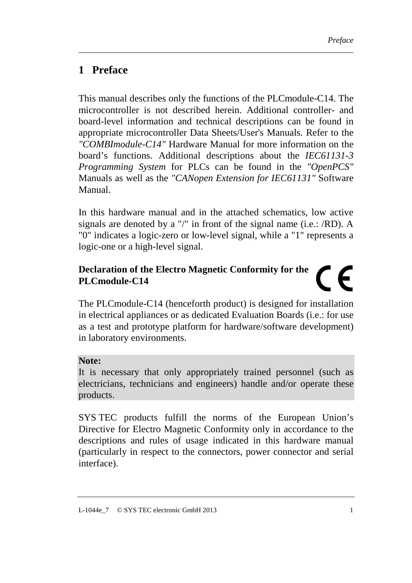## **1 Preface**

This manual describes only the functions of the PLCmodule-C14. The microcontroller is not described herein. Additional controller- and board-level information and technical descriptions can be found in appropriate microcontroller Data Sheets/User's Manuals. Refer to the *"COMBImodule-C14"* Hardware Manual for more information on the board's functions. Additional descriptions about the *IEC61131-3 Programming System* for PLCs can be found in the *"OpenPCS"* Manuals as well as the *"CANopen Extension for IEC61131"* Software Manual.

In this hardware manual and in the attached schematics, low active signals are denoted by a "/" in front of the signal name (i.e.: /RD). A "0" indicates a logic-zero or low-level signal, while a "1" represents a logic-one or a high-level signal.

#### **Declaration of the Electro Magnetic Conformity for the**   $\in$ **PLCmodule-C14**

The PLCmodule-C14 (henceforth product) is designed for installation in electrical appliances or as dedicated Evaluation Boards (i.e.: for use as a test and prototype platform for hardware/software development) in laboratory environments.

#### **Note:**

It is necessary that only appropriately trained personnel (such as electricians, technicians and engineers) handle and/or operate these products.

SYS TEC products fulfill the norms of the European Union's Directive for Electro Magnetic Conformity only in accordance to the descriptions and rules of usage indicated in this hardware manual (particularly in respect to the connectors, power connector and serial interface).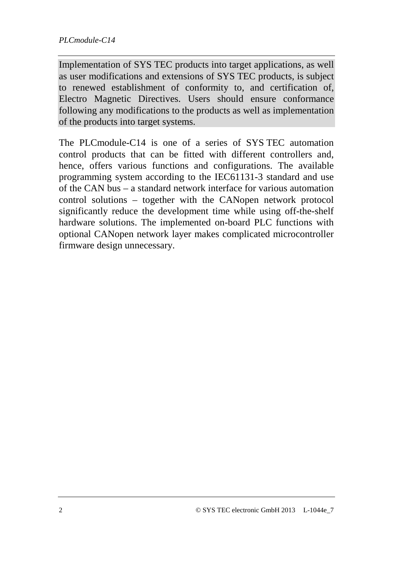Implementation of SYS TEC products into target applications, as well as user modifications and extensions of SYS TEC products, is subject to renewed establishment of conformity to, and certification of, Electro Magnetic Directives. Users should ensure conformance following any modifications to the products as well as implementation of the products into target systems.

The PLCmodule-C14 is one of a series of SYS TEC automation control products that can be fitted with different controllers and, hence, offers various functions and configurations. The available programming system according to the IEC61131-3 standard and use of the CAN bus – a standard network interface for various automation control solutions – together with the CANopen network protocol significantly reduce the development time while using off-the-shelf hardware solutions. The implemented on-board PLC functions with optional CANopen network layer makes complicated microcontroller firmware design unnecessary.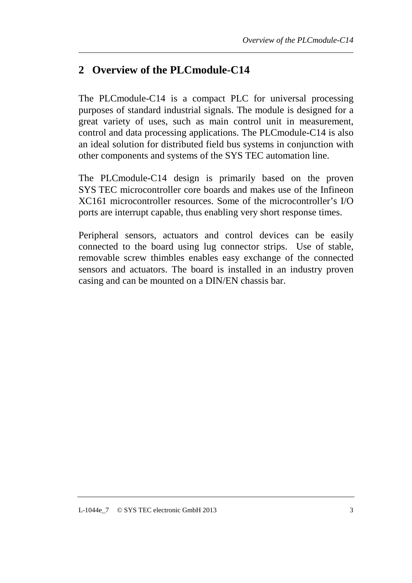# **2 Overview of the PLCmodule-C14**

The PLCmodule-C14 is a compact PLC for universal processing purposes of standard industrial signals. The module is designed for a great variety of uses, such as main control unit in measurement, control and data processing applications. The PLCmodule-C14 is also an ideal solution for distributed field bus systems in conjunction with other components and systems of the SYS TEC automation line.

The PLCmodule-C14 design is primarily based on the proven SYS TEC microcontroller core boards and makes use of the Infineon XC161 microcontroller resources. Some of the microcontroller's I/O ports are interrupt capable, thus enabling very short response times.

Peripheral sensors, actuators and control devices can be easily connected to the board using lug connector strips. Use of stable, removable screw thimbles enables easy exchange of the connected sensors and actuators. The board is installed in an industry proven casing and can be mounted on a DIN/EN chassis bar.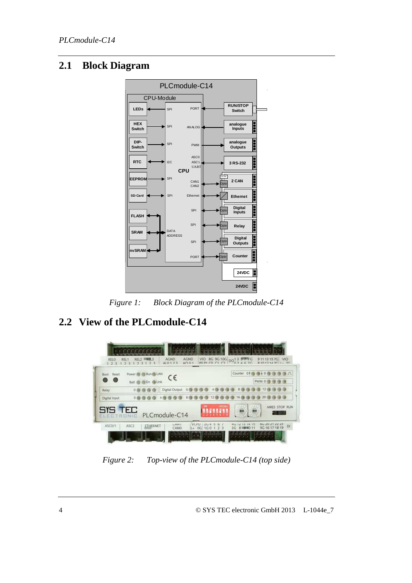#### **2.1 Block Diagram**



*Figure 1: Block Diagram of the PLCmodule-C14* 

# **2.2 View of the PLCmodule-C14**



*Figure 2: Top-view of the PLCmodule-C14 (top side)*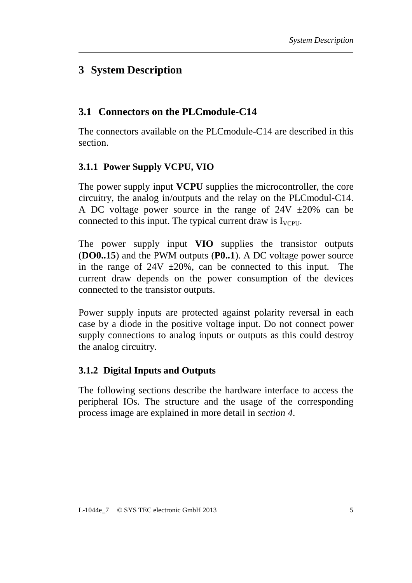# **3 System Description**

## **3.1 Connectors on the PLCmodule-C14**

The connectors available on the PLCmodule-C14 are described in this section.

#### **3.1.1 Power Supply VCPU, VIO**

The power supply input **VCPU** supplies the microcontroller, the core circuitry, the analog in/outputs and the relay on the PLCmodul-C14. A DC voltage power source in the range of  $24V \pm 20\%$  can be connected to this input. The typical current draw is  $I_{VCPU}$ .

The power supply input **VIO** supplies the transistor outputs (**DO0..15**) and the PWM outputs (**P0..1**). A DC voltage power source in the range of  $24V \pm 20\%$ , can be connected to this input. The current draw depends on the power consumption of the devices connected to the transistor outputs.

Power supply inputs are protected against polarity reversal in each case by a diode in the positive voltage input. Do not connect power supply connections to analog inputs or outputs as this could destroy the analog circuitry.

#### **3.1.2 Digital Inputs and Outputs**

The following sections describe the hardware interface to access the peripheral IOs. The structure and the usage of the corresponding process image are explained in more detail in *section 4*.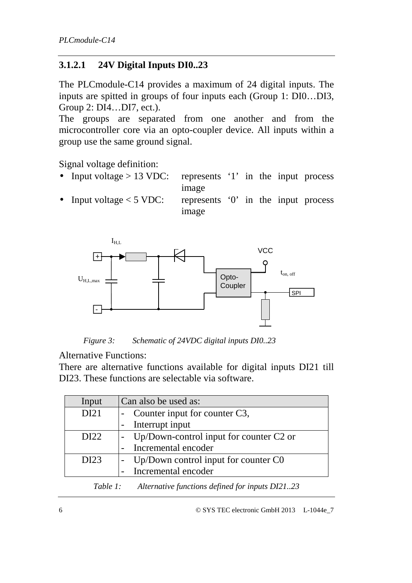#### **3.1.2.1 24V Digital Inputs DI0..23**

The PLCmodule-C14 provides a maximum of 24 digital inputs. The inputs are spitted in groups of four inputs each (Group 1: DI0…DI3, Group 2: DI4…DI7, ect.).

The groups are separated from one another and from the microcontroller core via an opto-coupler device. All inputs within a group use the same ground signal.

Signal voltage definition:

- Input voltage  $> 13$  VDC: represents '1' in the input process image
- Input voltage  $<$  5 VDC: represents '0' in the input process image



*Figure 3: Schematic of 24VDC digital inputs DI0..23*

Alternative Functions:

There are alternative functions available for digital inputs DI21 till DI23. These functions are selectable via software.

| Input                                                    | Can also be used as:                    |  |
|----------------------------------------------------------|-----------------------------------------|--|
| DI21                                                     | - Counter input for counter C3,         |  |
|                                                          | Interrupt input                         |  |
| DI22                                                     | Up/Down-control input for counter C2 or |  |
|                                                          | Incremental encoder                     |  |
| DI23                                                     | Up/Down control input for counter $C_0$ |  |
|                                                          | Incremental encoder                     |  |
| Table 1: Alternative functions defined for inputs DI2123 |                                         |  |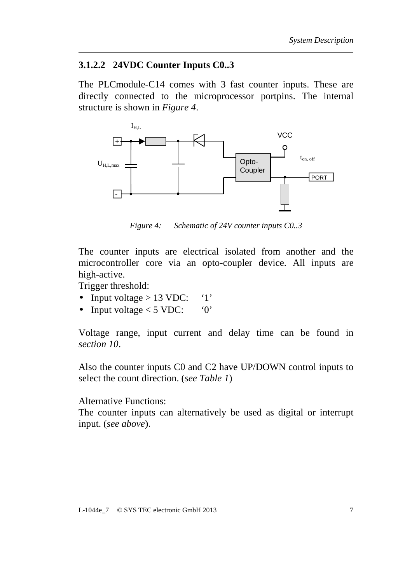#### **3.1.2.2 24VDC Counter Inputs C0..3**

The PLCmodule-C14 comes with 3 fast counter inputs. These are directly connected to the microprocessor portpins. The internal structure is shown in *Figure 4*.



*Figure 4: Schematic of 24V counter inputs C0..3*

The counter inputs are electrical isolated from another and the microcontroller core via an opto-coupler device. All inputs are high-active.

Trigger threshold:

- Input voltage  $> 13$  VDC: '1'
- Input voltage  $<$  5 VDC: '0'

Voltage range, input current and delay time can be found in *section 10*.

Also the counter inputs C0 and C2 have UP/DOWN control inputs to select the count direction. (*see Table 1*)

Alternative Functions:

The counter inputs can alternatively be used as digital or interrupt input. (*see above*).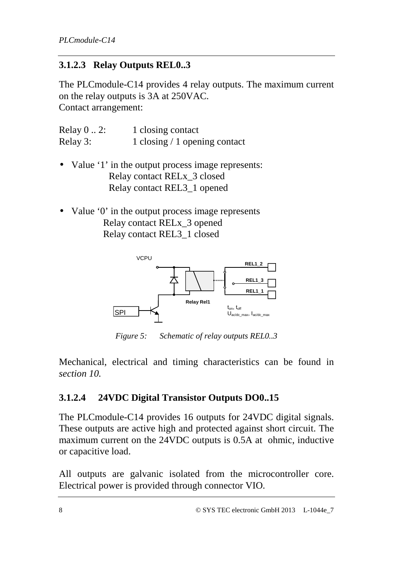#### **3.1.2.3 Relay Outputs REL0..3**

The PLCmodule-C14 provides 4 relay outputs. The maximum current on the relay outputs is 3A at 250VAC. Contact arrangement:

| Relay $0 \ldots 2$ : | 1 closing contact              |
|----------------------|--------------------------------|
| Relay 3:             | 1 closing $/1$ opening contact |

- Value '1' in the output process image represents: Relay contact RELx\_3 closed Relay contact REL3\_1 opened
- Value '0' in the output process image represents Relay contact RELx\_3 opened Relay contact REL3\_1 closed



*Figure 5: Schematic of relay outputs REL0..3* 

Mechanical, electrical and timing characteristics can be found in *section 10.*

#### **3.1.2.4 24VDC Digital Transistor Outputs DO0..15**

The PLCmodule-C14 provides 16 outputs for 24VDC digital signals. These outputs are active high and protected against short circuit. The maximum current on the 24VDC outputs is 0.5A at ohmic, inductive or capacitive load.

All outputs are galvanic isolated from the microcontroller core. Electrical power is provided through connector VIO.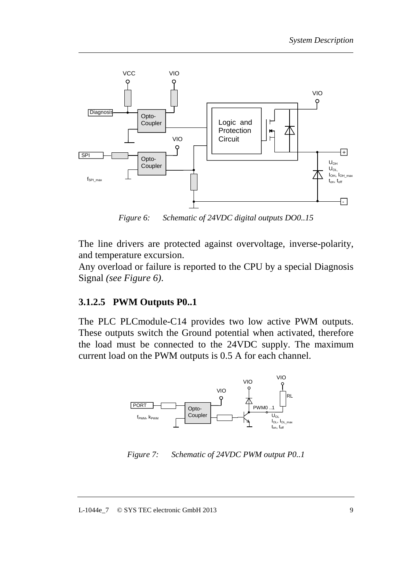

*Figure 6: Schematic of 24VDC digital outputs DO0..15* 

The line drivers are protected against overvoltage, inverse-polarity, and temperature excursion.

Any overload or failure is reported to the CPU by a special Diagnosis Signal *(see Figure 6)*.

#### **3.1.2.5 PWM Outputs P0..1**

The PLC PLCmodule-C14 provides two low active PWM outputs. These outputs switch the Ground potential when activated, therefore the load must be connected to the 24VDC supply. The maximum current load on the PWM outputs is 0.5 A for each channel.



*Figure 7: Schematic of 24VDC PWM output P0..1*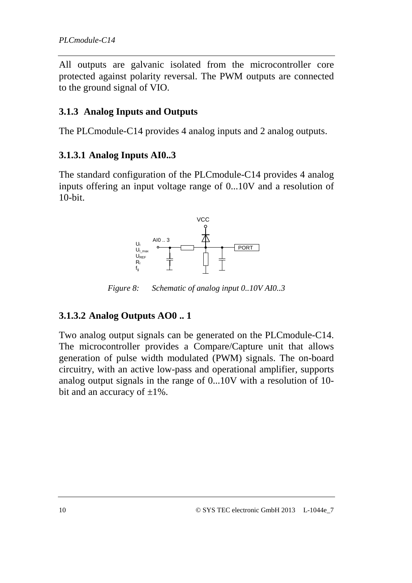All outputs are galvanic isolated from the microcontroller core protected against polarity reversal. The PWM outputs are connected to the ground signal of VIO.

#### **3.1.3 Analog Inputs and Outputs**

The PLCmodule-C14 provides 4 analog inputs and 2 analog outputs.

#### **3.1.3.1 Analog Inputs AI0..3**

The standard configuration of the PLCmodule-C14 provides 4 analog inputs offering an input voltage range of 0...10V and a resolution of 10-bit.



*Figure 8: Schematic of analog input 0..10V AI0..3*

#### **3.1.3.2 Analog Outputs AO0 .. 1**

Two analog output signals can be generated on the PLCmodule-C14. The microcontroller provides a Compare/Capture unit that allows generation of pulse width modulated (PWM) signals. The on-board circuitry, with an active low-pass and operational amplifier, supports analog output signals in the range of 0...10V with a resolution of 10 bit and an accuracy of  $\pm 1\%$ .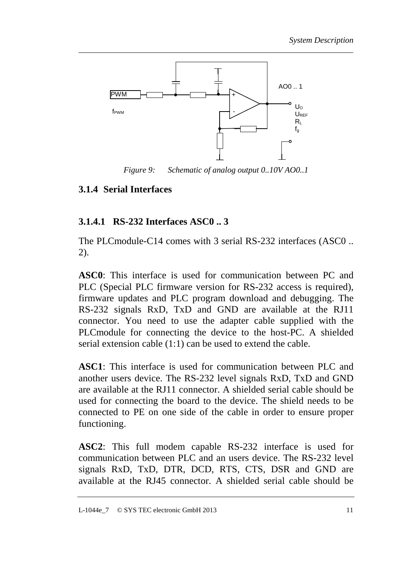![](_page_16_Figure_1.jpeg)

*Figure 9: Schematic of analog output 0..10V AO0..1* 

#### **3.1.4 Serial Interfaces**

#### **3.1.4.1 RS-232 Interfaces ASC0 .. 3**

The PLCmodule-C14 comes with 3 serial RS-232 interfaces (ASC0 .. 2).

**ASC0**: This interface is used for communication between PC and PLC (Special PLC firmware version for RS-232 access is required), firmware updates and PLC program download and debugging. The RS-232 signals RxD, TxD and GND are available at the RJ11 connector. You need to use the adapter cable supplied with the PLCmodule for connecting the device to the host-PC. A shielded serial extension cable (1:1) can be used to extend the cable.

**ASC1**: This interface is used for communication between PLC and another users device. The RS-232 level signals RxD, TxD and GND are available at the RJ11 connector. A shielded serial cable should be used for connecting the board to the device. The shield needs to be connected to PE on one side of the cable in order to ensure proper functioning.

**ASC2**: This full modem capable RS-232 interface is used for communication between PLC and an users device. The RS-232 level signals RxD, TxD, DTR, DCD, RTS, CTS, DSR and GND are available at the RJ45 connector. A shielded serial cable should be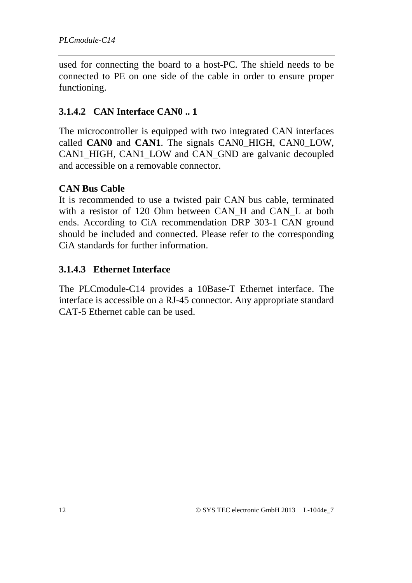used for connecting the board to a host-PC. The shield needs to be connected to PE on one side of the cable in order to ensure proper functioning.

#### **3.1.4.2 CAN Interface CAN0 .. 1**

The microcontroller is equipped with two integrated CAN interfaces called **CAN0** and **CAN1**. The signals CAN0\_HIGH, CAN0\_LOW, CAN1\_HIGH, CAN1\_LOW and CAN\_GND are galvanic decoupled and accessible on a removable connector.

#### **CAN Bus Cable**

It is recommended to use a twisted pair CAN bus cable, terminated with a resistor of 120 Ohm between CAN H and CAN L at both ends. According to CiA recommendation DRP 303-1 CAN ground should be included and connected. Please refer to the corresponding CiA standards for further information.

#### **3.1.4.3 Ethernet Interface**

The PLCmodule-C14 provides a 10Base-T Ethernet interface. The interface is accessible on a RJ-45 connector. Any appropriate standard CAT-5 Ethernet cable can be used.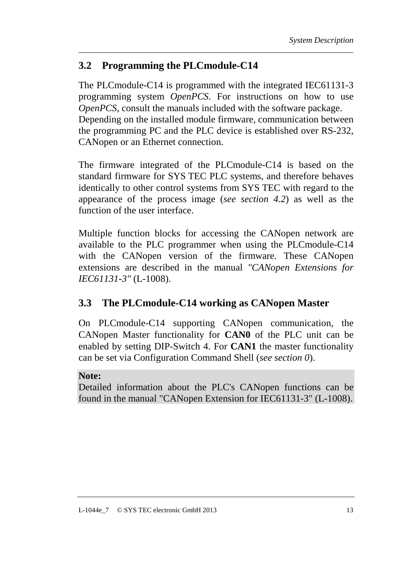## **3.2 Programming the PLCmodule-C14**

The PLCmodule-C14 is programmed with the integrated IEC61131-3 programming system *OpenPCS*. For instructions on how to use *OpenPCS*, consult the manuals included with the software package. Depending on the installed module firmware, communication between the programming PC and the PLC device is established over RS-232, CANopen or an Ethernet connection.

The firmware integrated of the PLCmodule-C14 is based on the standard firmware for SYS TEC PLC systems, and therefore behaves identically to other control systems from SYS TEC with regard to the appearance of the process image (*see section 4.2*) as well as the function of the user interface.

Multiple function blocks for accessing the CANopen network are available to the PLC programmer when using the PLCmodule-C14 with the CANopen version of the firmware. These CANopen extensions are described in the manual *"CANopen Extensions for IEC61131-3"* (L-1008).

#### **3.3 The PLCmodule-C14 working as CANopen Master**

On PLCmodule-C14 supporting CANopen communication, the CANopen Master functionality for **CAN0** of the PLC unit can be enabled by setting DIP-Switch 4. For **CAN1** the master functionality can be set via Configuration Command Shell (*see section 0*).

#### **Note:**

Detailed information about the PLC's CANopen functions can be found in the manual "CANopen Extension for IEC61131-3" (L-1008).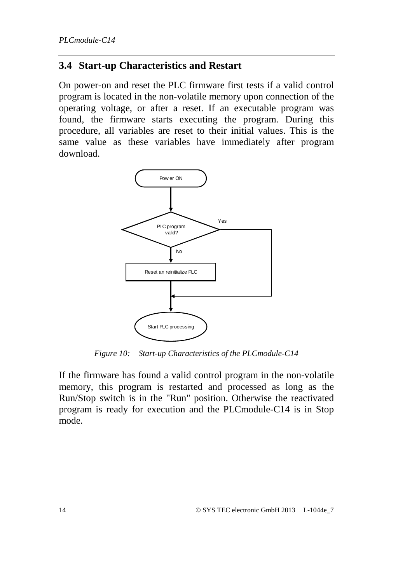#### **3.4 Start-up Characteristics and Restart**

On power-on and reset the PLC firmware first tests if a valid control program is located in the non-volatile memory upon connection of the operating voltage, or after a reset. If an executable program was found, the firmware starts executing the program. During this procedure, all variables are reset to their initial values. This is the same value as these variables have immediately after program download.

![](_page_19_Figure_3.jpeg)

*Figure 10: Start-up Characteristics of the PLCmodule-C14* 

If the firmware has found a valid control program in the non-volatile memory, this program is restarted and processed as long as the Run/Stop switch is in the "Run" position. Otherwise the reactivated program is ready for execution and the PLCmodule-C14 is in Stop mode.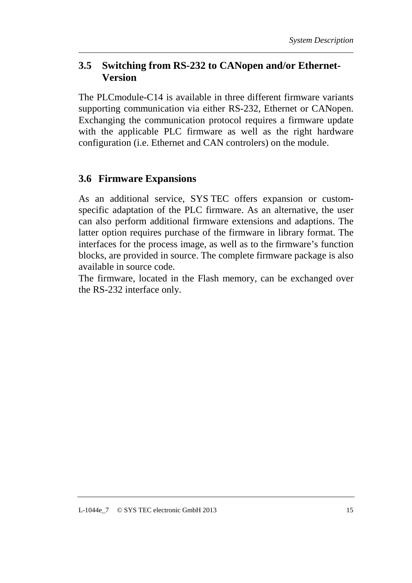#### **3.5 Switching from RS-232 to CANopen and/or Ethernet-Version**

The PLCmodule-C14 is available in three different firmware variants supporting communication via either RS-232, Ethernet or CANopen. Exchanging the communication protocol requires a firmware update with the applicable PLC firmware as well as the right hardware configuration (i.e. Ethernet and CAN controlers) on the module.

#### **3.6 Firmware Expansions**

As an additional service, SYS TEC offers expansion or customspecific adaptation of the PLC firmware. As an alternative, the user can also perform additional firmware extensions and adaptions. The latter option requires purchase of the firmware in library format. The interfaces for the process image, as well as to the firmware's function blocks, are provided in source. The complete firmware package is also available in source code.

The firmware, located in the Flash memory, can be exchanged over the RS-232 interface only.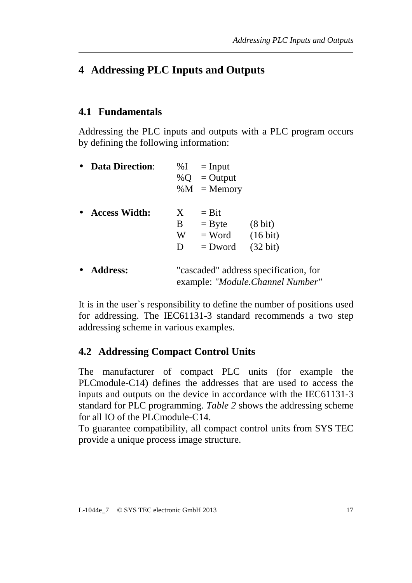# **4 Addressing PLC Inputs and Outputs**

#### **4.1 Fundamentals**

Addressing the PLC inputs and outputs with a PLC program occurs by defining the following information:

| <b>Data Direction:</b> |   | $\%I = Input$  |                                                                           |
|------------------------|---|----------------|---------------------------------------------------------------------------|
|                        |   | % $Q = Output$ |                                                                           |
|                        |   | $\%M =$ Memory |                                                                           |
| <b>Access Width:</b>   | X | $=$ Bit        |                                                                           |
|                        | B | $=$ Byte       | $(8 \text{ bit})$                                                         |
|                        | W | $=$ Word       | $(16 \text{ bit})$                                                        |
|                        | D | $=$ Dword      | $(32 \text{ bit})$                                                        |
| <b>Address:</b>        |   |                | "cascaded" address specification, for<br>example: "Module.Channel Number" |
|                        |   |                |                                                                           |

It is in the user`s responsibility to define the number of positions used for addressing. The IEC61131-3 standard recommends a two step addressing scheme in various examples.

#### **4.2 Addressing Compact Control Units**

The manufacturer of compact PLC units (for example the PLCmodule-C14) defines the addresses that are used to access the inputs and outputs on the device in accordance with the IEC61131-3 standard for PLC programming*. Table 2* shows the addressing scheme for all IO of the PLCmodule-C14.

To guarantee compatibility, all compact control units from SYS TEC provide a unique process image structure.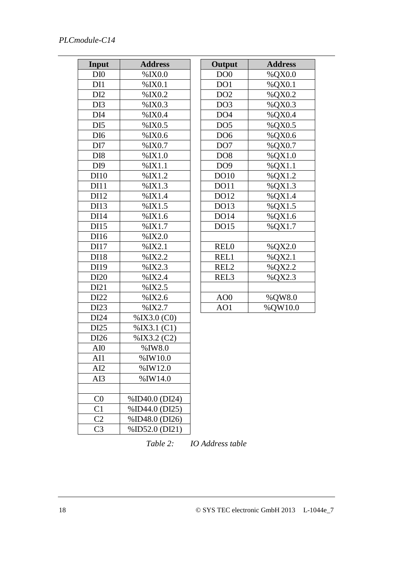#### *PLCmodule-C14*

|                 | <b>Address</b>    |                 | <b>Address</b> |
|-----------------|-------------------|-----------------|----------------|
| Input           |                   | Output          |                |
| DI <sub>0</sub> | $%$ IX $0.0$      | DO <sub>0</sub> | %QX0.0         |
| DI1             | %IX0.1            | DO1             | %QX0.1         |
| DI <sub>2</sub> | %IX0.2            | DO <sub>2</sub> | %QX0.2         |
| DI3             | %IX0.3            | DO <sub>3</sub> | %QX0.3         |
| DI <sub>4</sub> | %IX0.4            | DO <sub>4</sub> | %QX0.4         |
| DI <sub>5</sub> | %IX0.5            | DO <sub>5</sub> | %QX0.5         |
| DI <sub>6</sub> | %IX0.6            | DO <sub>6</sub> | %QX0.6         |
| DI7             | %IX0.7            | DO <sub>7</sub> | %QX0.7         |
| DI <sub>8</sub> | %IX1.0            | DO <sub>8</sub> | %QX1.0         |
| DI <sub>9</sub> | %IX1.1            | DO <sub>9</sub> | %QX1.1         |
| DI10            | %IX1.2            | DO10            | %QX1.2         |
| <b>DI11</b>     | %IX1.3            | DO11            | %QX1.3         |
| DI12            | %IX1.4            | DO12            | %QX1.4         |
| DI13            | %IX1.5            | DO13            | %QX1.5         |
| DI14            | %IX1.6            | <b>DO14</b>     | %QX1.6         |
| DI15            | %IX1.7            | DO15            | %QX1.7         |
| DI16            | $%$ IX2.0         |                 |                |
| DI17            | $%$ IX2.1         | <b>RELO</b>     | %QX2.0         |
| DI18            | %IX2.2            | REL1            | %QX2.1         |
| DI19            | %IX2.3            | REL2            | %QX2.2         |
| DI20            | %IX2.4            | REL3            | %QX2.3         |
| DI21            | %IX2.5            |                 |                |
| DI22            | %IX2.6            | AO <sub>0</sub> | %QW8.0         |
| DI23            | %IX2.7            | AO1             | %QW10.0        |
| DI24            | $\%$ IX3.0 (C0)   |                 |                |
| DI25            | $\%$ IX3.1 $(C1)$ |                 |                |
| DI26            | $\%$ IX3.2 (C2)   |                 |                |
| AI0             | %IW8.0            |                 |                |
| AI1             | $%$ IW10.0        |                 |                |
| AI2             | %IW12.0           |                 |                |
| AI3             | $%$ IW14.0        |                 |                |
|                 |                   |                 |                |
| C <sub>0</sub>  | %ID40.0 (DI24)    |                 |                |
| C <sub>1</sub>  | %ID44.0 (DI25)    |                 |                |
| C <sub>2</sub>  | %ID48.0 (DI26)    |                 |                |
| C <sub>3</sub>  | %ID52.0 (DI21)    |                 |                |

*Table 2: IO Address table*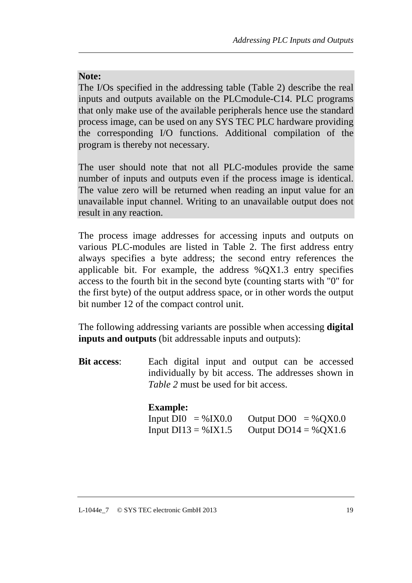#### **Note:**

The I/Os specified in the addressing table (Table 2) describe the real inputs and outputs available on the PLCmodule-C14. PLC programs that only make use of the available peripherals hence use the standard process image, can be used on any SYS TEC PLC hardware providing the corresponding I/O functions. Additional compilation of the program is thereby not necessary.

The user should note that not all PLC-modules provide the same number of inputs and outputs even if the process image is identical. The value zero will be returned when reading an input value for an unavailable input channel. Writing to an unavailable output does not result in any reaction.

The process image addresses for accessing inputs and outputs on various PLC-modules are listed in Table 2. The first address entry always specifies a byte address; the second entry references the applicable bit. For example, the address %QX1.3 entry specifies access to the fourth bit in the second byte (counting starts with "0" for the first byte) of the output address space, or in other words the output bit number 12 of the compact control unit.

The following addressing variants are possible when accessing **digital inputs and outputs** (bit addressable inputs and outputs):

**Bit access**: Each digital input and output can be accessed individually by bit access. The addresses shown in *Table 2* must be used for bit access.

#### **Example:**

| Input $DI0 = %IX0.0$    | Output $DO0 = %QX0.0$  |
|-------------------------|------------------------|
| Input $DI13 = \% IX1.5$ | Output $DO14 = %QX1.6$ |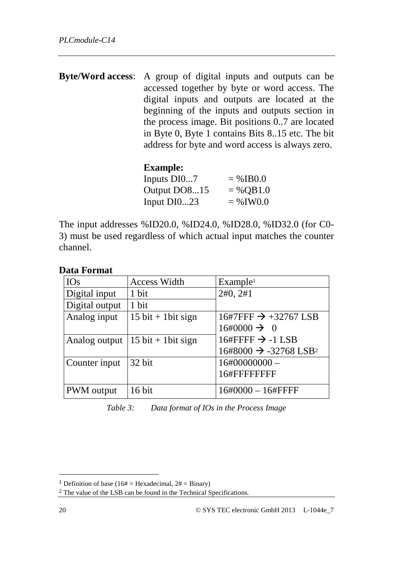**Byte/Word access**: A group of digital inputs and outputs can be accessed together by byte or word access. The digital inputs and outputs are located at the beginning of the inputs and outputs section in the process image. Bit positions 0..7 are located in Byte 0, Byte 1 contains Bits 8..15 etc. The bit address for byte and word access is always zero.

#### **Example:**

| Inputs DI07   | $=$ %IB0.0  |
|---------------|-------------|
| Output DO815  | $= %OB1.0$  |
| Input $DI023$ | $=$ % IW0.0 |

The input addresses %ID20.0, %ID24.0, %ID28.0, %ID32.0 (for C0- 3) must be used regardless of which actual input matches the counter channel.

#### **Data Format**

| <b>IOs</b>     | <b>Access Width</b>                  | Example <sup>1</sup>                           |
|----------------|--------------------------------------|------------------------------------------------|
| Digital input  | 1 bit                                | 2#0, 2#1                                       |
| Digital output | 1 bit                                |                                                |
| Analog input   | $15$ bit + 1 bit sign                | $16\#7$ FFF $\rightarrow +32767$ LSB           |
|                |                                      | $16\#0000 \rightarrow 0$                       |
| Analog output  | $15 \text{ bit} + 1 \text{bit sign}$ | 16#FFFF $\rightarrow$ -1 LSB                   |
|                |                                      | $16\#8000 \rightarrow -32768$ LSB <sup>2</sup> |
| Counter input  | 32 bit                               | $16\#00000000 -$                               |
|                |                                      | 16#FFFFFFFFF                                   |
| PWM output     | 16 bit                               | $16\#0000 - 16\#$ FFFF                         |

*Table 3: Data format of IOs in the Process Image* 

 $\ddot{\phantom{a}}$ 

<sup>&</sup>lt;sup>1</sup> Definition of base (16# = Hexadecimal,  $2# = \text{Binary}$ )

<sup>2</sup> The value of the LSB can be found in the Technical Specifications.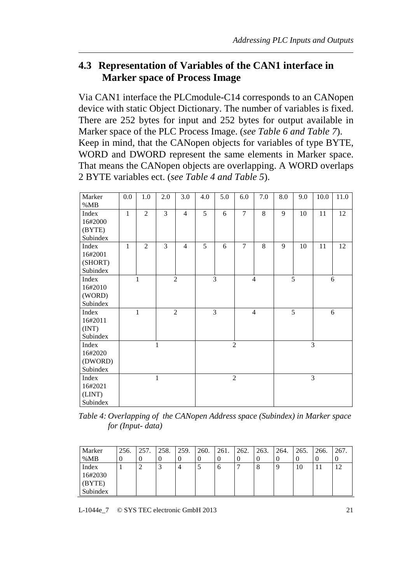#### **4.3 Representation of Variables of the CAN1 interface in Marker space of Process Image**

Via CAN1 interface the PLCmodule-C14 corresponds to an CANopen device with static Object Dictionary. The number of variables is fixed. There are 252 bytes for input and 252 bytes for output available in Marker space of the PLC Process Image. (*see Table 6 and Table 7*). Keep in mind, that the CANopen objects for variables of type BYTE, WORD and DWORD represent the same elements in Marker space. That means the CANopen objects are overlapping. A WORD overlaps 2 BYTE variables ect. (*see Table 4 and Table 5*).

| Marker   | 0.0          | 1.0            | 2.0            | 3.0            | 4.0 | 5.0 | 6.0            | 7.0            | 8.0 | 9.0 | 10.0           | 11.0 |
|----------|--------------|----------------|----------------|----------------|-----|-----|----------------|----------------|-----|-----|----------------|------|
| %MB      |              |                |                |                |     |     |                |                |     |     |                |      |
| Index    | $\mathbf{1}$ | $\overline{2}$ | $\overline{3}$ | $\overline{4}$ | 5   | 6   | $\overline{7}$ | 8              | 9   | 10  | 11             | 12   |
| 16#2000  |              |                |                |                |     |     |                |                |     |     |                |      |
| (BYTE)   |              |                |                |                |     |     |                |                |     |     |                |      |
| Subindex |              |                |                |                |     |     |                |                |     |     |                |      |
| Index    | $\mathbf{1}$ | $\overline{2}$ | 3              | $\overline{4}$ | 5   | 6   | $\overline{7}$ | 8              | 9   | 10  | 11             | 12   |
| 16#2001  |              |                |                |                |     |     |                |                |     |     |                |      |
| (SHORT)  |              |                |                |                |     |     |                |                |     |     |                |      |
| Subindex |              |                |                |                |     |     |                |                |     |     |                |      |
| Index    |              | 1              |                | $\overline{2}$ |     | 3   |                | $\overline{4}$ |     | 5   |                | 6    |
| 16#2010  |              |                |                |                |     |     |                |                |     |     |                |      |
| (WORD)   |              |                |                |                |     |     |                |                |     |     |                |      |
| Subindex |              |                |                |                |     |     |                |                |     |     |                |      |
| Index    |              | $\mathbf{1}$   |                | $\overline{2}$ |     | 3   |                | $\overline{4}$ |     | 5   |                | 6    |
| 16#2011  |              |                |                |                |     |     |                |                |     |     |                |      |
| (INT)    |              |                |                |                |     |     |                |                |     |     |                |      |
| Subindex |              |                |                |                |     |     |                |                |     |     |                |      |
| Index    |              |                | 1              |                |     |     | $\overline{2}$ |                |     |     | 3              |      |
| 16#2020  |              |                |                |                |     |     |                |                |     |     |                |      |
| (DWORD)  |              |                |                |                |     |     |                |                |     |     |                |      |
| Subindex |              |                |                |                |     |     |                |                |     |     |                |      |
| Index    |              |                | $\mathbf{1}$   |                |     |     | $\overline{2}$ |                |     |     | $\overline{3}$ |      |
| 16#2021  |              |                |                |                |     |     |                |                |     |     |                |      |
| (LINT)   |              |                |                |                |     |     |                |                |     |     |                |      |
| Subindex |              |                |                |                |     |     |                |                |     |     |                |      |

*Table 4: Overlapping of the CANopen Address space (Subindex) in Marker space for (Input- data)* 

| Marker   | 256. | 257. | 258. | 259. | 260. | 261. | 262. | 263. | 264. | 265. | 266. | 267. |
|----------|------|------|------|------|------|------|------|------|------|------|------|------|
| %MB      |      |      |      |      |      |      |      |      | v    |      |      |      |
| Index    |      |      |      | 4    |      | O    |      |      | 9    | 10   | 11   |      |
| 16#2030  |      |      |      |      |      |      |      |      |      |      |      |      |
| (BYTE)   |      |      |      |      |      |      |      |      |      |      |      |      |
| Subindex |      |      |      |      |      |      |      |      |      |      |      |      |

L-1044e\_7 © SYS TEC electronic GmbH 2013 21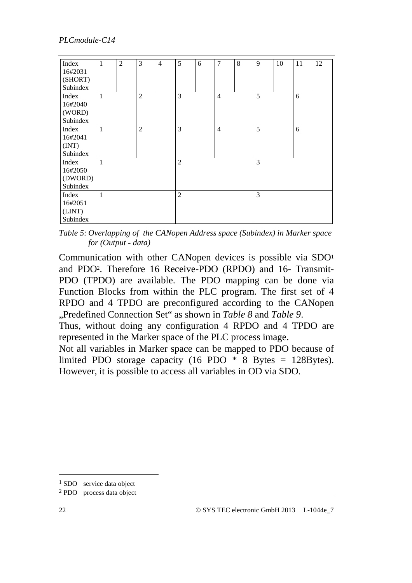| Index    | 1 | $\overline{2}$ | 3              | $\overline{4}$ | 5              | 6 | $\overline{7}$ | 8 | 9 | 10 | 11 | 12 |
|----------|---|----------------|----------------|----------------|----------------|---|----------------|---|---|----|----|----|
| 16#2031  |   |                |                |                |                |   |                |   |   |    |    |    |
| (SHORT)  |   |                |                |                |                |   |                |   |   |    |    |    |
| Subindex |   |                |                |                |                |   |                |   |   |    |    |    |
| Index    | 1 |                | $\overline{2}$ |                | 3              |   | $\overline{4}$ |   | 5 |    | 6  |    |
| 16#2040  |   |                |                |                |                |   |                |   |   |    |    |    |
| (WORD)   |   |                |                |                |                |   |                |   |   |    |    |    |
| Subindex |   |                |                |                |                |   |                |   |   |    |    |    |
| Index    | 1 |                | $\overline{2}$ |                | 3              |   | $\overline{4}$ |   | 5 |    | 6  |    |
| 16#2041  |   |                |                |                |                |   |                |   |   |    |    |    |
| (INT)    |   |                |                |                |                |   |                |   |   |    |    |    |
| Subindex |   |                |                |                |                |   |                |   |   |    |    |    |
| Index    | 1 |                |                |                | $\overline{2}$ |   |                |   | 3 |    |    |    |
| 16#2050  |   |                |                |                |                |   |                |   |   |    |    |    |
| (DWORD)  |   |                |                |                |                |   |                |   |   |    |    |    |
| Subindex |   |                |                |                |                |   |                |   |   |    |    |    |
| Index    | 1 |                |                |                | $\overline{2}$ |   |                |   | 3 |    |    |    |
| 16#2051  |   |                |                |                |                |   |                |   |   |    |    |    |
| (LINT)   |   |                |                |                |                |   |                |   |   |    |    |    |
| Subindex |   |                |                |                |                |   |                |   |   |    |    |    |

*Table 5: Overlapping of the CANopen Address space (Subindex) in Marker space for (Output - data)* 

Communication with other CANopen devices is possible via SDO<sup>1</sup> and PDO2. Therefore 16 Receive-PDO (RPDO) and 16- Transmit-PDO (TPDO) are available. The PDO mapping can be done via Function Blocks from within the PLC program. The first set of 4 RPDO and 4 TPDO are preconfigured according to the CANopen "Predefined Connection Set" as shown in *Table 8* and *Table 9*.

Thus, without doing any configuration 4 RPDO and 4 TPDO are represented in the Marker space of the PLC process image.

Not all variables in Marker space can be mapped to PDO because of limited PDO storage capacity (16 PDO \* 8 Bytes = 128Bytes). However, it is possible to access all variables in OD via SDO.

 $\ddot{\phantom{a}}$ 

<sup>&</sup>lt;sup>1</sup> SDO service data object

<sup>2</sup> PDO process data object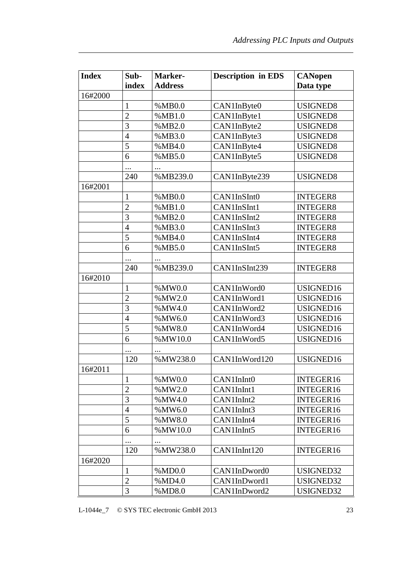| <b>Index</b> | Sub-           | Marker-        | <b>Description in EDS</b> | <b>CANopen</b>  |
|--------------|----------------|----------------|---------------------------|-----------------|
|              | index          | <b>Address</b> |                           | Data type       |
| 16#2000      |                |                |                           |                 |
|              | 1              | %MB0.0         | CAN1InByte0               | USIGNED8        |
|              | $\overline{2}$ | %MB1.0         | CAN1InByte1               | <b>USIGNED8</b> |
|              | $\overline{3}$ | %MB2.0         | CAN1InByte2               | USIGNED8        |
|              | 4              | %MB3.0         | CAN1InByte3               | USIGNED8        |
|              | 5              | %MB4.0         | CAN1InByte4               | USIGNED8        |
|              | 6              | %MB5.0         | CAN1InByte5               | <b>USIGNED8</b> |
|              |                |                |                           |                 |
|              | 240            | %MB239.0       | CAN1InByte239             | <b>USIGNED8</b> |
| 16#2001      |                |                |                           |                 |
|              | 1              | %MB0.0         | CAN1InSInt0               | <b>INTEGER8</b> |
|              | $\overline{2}$ | %MB1.0         | CAN1InSInt1               | <b>INTEGER8</b> |
|              | $\overline{3}$ | %MB2.0         | CAN1InSInt2               | <b>INTEGER8</b> |
|              | 4              | %MB3.0         | CAN1InSInt3               | <b>INTEGER8</b> |
|              | $\overline{5}$ | %MB4.0         | CAN1InSInt4               | <b>INTEGER8</b> |
|              | 6              | %MB5.0         | CAN1InSInt5               | <b>INTEGER8</b> |
|              |                |                |                           |                 |
|              | 240            | %MB239.0       | CAN1InSInt239             | <b>INTEGER8</b> |
| 16#2010      |                |                |                           |                 |
|              | 1              | %MW0.0         | CAN1InWord0               | USIGNED16       |
|              | $\overline{2}$ | %MW2.0         | CAN1InWord1               | USIGNED16       |
|              | 3              | %MW4.0         | CAN1InWord2               | USIGNED16       |
|              | $\overline{4}$ | %MW6.0         | CAN1InWord3               | USIGNED16       |
|              | 5              | %MW8.0         | CAN1InWord4               | USIGNED16       |
|              | 6              | %MW10.0        | CAN1InWord5               | USIGNED16       |
|              |                |                |                           |                 |
|              | 120            | %MW238.0       | CAN1InWord120             | USIGNED16       |
| 16#2011      |                |                |                           |                 |
|              | $\mathbf{1}$   | %MW0.0         | CAN1InInt0                | INTEGER16       |
|              | $\overline{2}$ | %MW2.0         | CAN1InInt1                | INTEGER16       |
|              | 3              | %MW4.0         | CAN1InInt2                | INTEGER16       |
|              | $\overline{4}$ | %MW6.0         | CAN1InInt3                | INTEGER16       |
|              | 5              | %MW8.0         | CAN1InInt4                | INTEGER16       |
|              | 6              | %MW10.0        | CAN1InInt5                | INTEGER16       |
|              |                |                |                           |                 |
|              | 120            | %MW238.0       | CAN1InInt120              | INTEGER16       |
| 16#2020      |                |                |                           |                 |
|              | $\mathbf{1}$   | %MD0.0         | CAN1InDword0              | USIGNED32       |
|              | $\overline{2}$ | %MD4.0         | CAN1InDword1              | USIGNED32       |
|              | 3              | %MD8.0         | CAN1InDword2              | USIGNED32       |

L-1044e\_7 © SYS TEC electronic GmbH 2013 23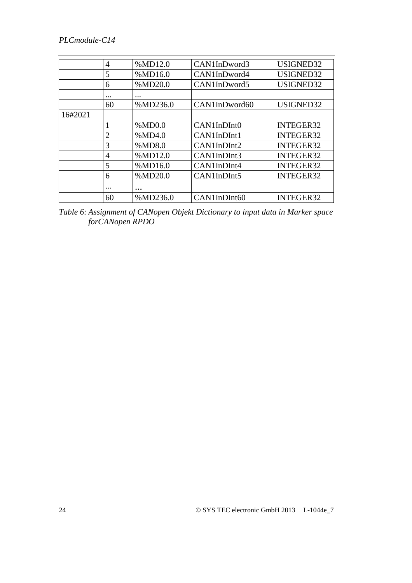|         | 4              | %MD12.0  | CAN1InDword3  | USIGNED32        |
|---------|----------------|----------|---------------|------------------|
|         | 5              | %MD16.0  | CAN1InDword4  | USIGNED32        |
|         | 6              | %MD20.0  | CAN1InDword5  | USIGNED32        |
|         | $\cdots$       |          |               |                  |
|         | 60             | %MD236.0 | CAN1InDword60 | USIGNED32        |
| 16#2021 |                |          |               |                  |
|         |                | %MD0.0   | CAN1InDInt0   | <b>INTEGER32</b> |
|         | $\overline{2}$ | %MD4.0   | CAN1InDInt1   | <b>INTEGER32</b> |
|         | 3              | %MD8.0   | CAN1InDInt2   | <b>INTEGER32</b> |
|         | 4              | %MD12.0  | CAN1InDInt3   | <b>INTEGER32</b> |
|         | 5              | %MD16.0  | CAN1InDInt4   | INTEGER32        |
|         | 6              | %MD20.0  | CAN1InDInt5   | INTEGER32        |
|         | $\cdots$       | $\cdots$ |               |                  |
|         | 60             | %MD236.0 | CAN1InDInt60  | <b>INTEGER32</b> |

*Table 6: Assignment of CANopen Objekt Dictionary to input data in Marker space forCANopen RPDO*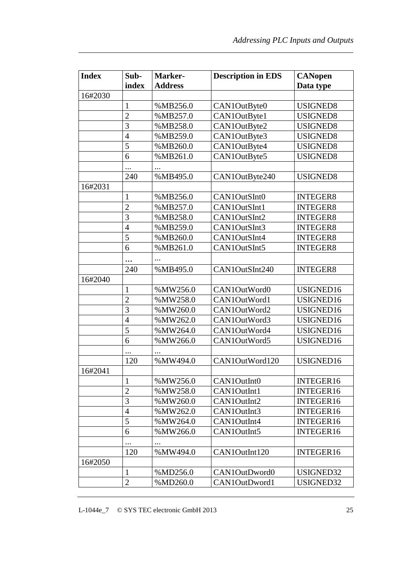| <b>Index</b> | Sub-           | Marker-        | <b>Description in EDS</b> | <b>CANopen</b>  |
|--------------|----------------|----------------|---------------------------|-----------------|
|              | index          | <b>Address</b> |                           | Data type       |
| 16#2030      |                |                |                           |                 |
|              | 1              | %MB256.0       | CAN1OutByte0              | USIGNED8        |
|              | $\overline{2}$ | %MB257.0       | CAN1OutByte1              | <b>USIGNED8</b> |
|              | 3              | %MB258.0       | CAN1OutByte2              | USIGNED8        |
|              | $\overline{4}$ | %MB259.0       | CAN1OutByte3              | <b>USIGNED8</b> |
|              | 5              | %MB260.0       | CAN1OutByte4              | <b>USIGNED8</b> |
|              | 6              | %MB261.0       | CAN1OutByte5              | USIGNED8        |
|              |                |                |                           |                 |
|              | 240            | %MB495.0       | CAN1OutByte240            | <b>USIGNED8</b> |
| 16#2031      |                |                |                           |                 |
|              | 1              | %MB256.0       | CAN1OutSInt0              | <b>INTEGER8</b> |
|              | $\overline{2}$ | %MB257.0       | CAN1OutSInt1              | <b>INTEGER8</b> |
|              | 3              | %MB258.0       | CAN1OutSInt2              | <b>INTEGER8</b> |
|              | $\overline{4}$ | %MB259.0       | CAN1OutSInt3              | <b>INTEGER8</b> |
|              | 5              | %MB260.0       | CAN1OutSInt4              | <b>INTEGER8</b> |
|              | 6              | %MB261.0       | CAN1OutSInt5              | <b>INTEGER8</b> |
|              |                | $\cdots$       |                           |                 |
|              | 240            | %MB495.0       | CAN1OutSInt240            | <b>INTEGER8</b> |
| 16#2040      |                |                |                           |                 |
|              | $\mathbf{1}$   | %MW256.0       | CAN1OutWord0              | USIGNED16       |
|              | $\overline{2}$ | %MW258.0       | CAN1OutWord1              | USIGNED16       |
|              | 3              | %MW260.0       | CAN1OutWord2              | USIGNED16       |
|              | $\overline{4}$ | %MW262.0       | CAN1OutWord3              | USIGNED16       |
|              | 5              | %MW264.0       | CAN1OutWord4              | USIGNED16       |
|              | 6              | %MW266.0       | CAN1OutWord5              | USIGNED16       |
|              |                |                |                           |                 |
|              | 120            | %MW494.0       | CAN1OutWord120            | USIGNED16       |
| 16#2041      |                |                |                           |                 |
|              | $\mathbf{1}$   | %MW256.0       | CAN1OutInt0               | INTEGER16       |
|              | $\overline{2}$ | %MW258.0       | CAN1OutInt1               | INTEGER16       |
|              | 3              | %MW260.0       | CAN1OutInt2               | INTEGER16       |
|              | $\overline{4}$ | %MW262.0       | CAN1OutInt3               | INTEGER16       |
|              | 5              | %MW264.0       | CAN1OutInt4               | INTEGER16       |
|              | 6              | %MW266.0       | CAN1OutInt5               | INTEGER16       |
|              |                |                |                           |                 |
|              | 120            | %MW494.0       | CAN1OutInt120             | INTEGER16       |
| 16#2050      |                |                |                           |                 |
|              | $\mathbf{1}$   | %MD256.0       | CAN1OutDword0             | USIGNED32       |
|              | $\mathbf{2}$   | %MD260.0       | CAN1OutDword1             | USIGNED32       |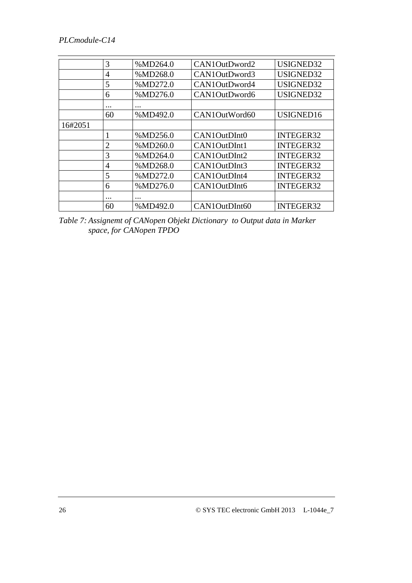|         | 3                   | %MD264.0 | CAN1OutDword2 | USIGNED32        |
|---------|---------------------|----------|---------------|------------------|
|         | $\overline{4}$      | %MD268.0 | CAN1OutDword3 | USIGNED32        |
|         | 5                   | %MD272.0 | CAN1OutDword4 | USIGNED32        |
|         | 6                   | %MD276.0 | CAN1OutDword6 | USIGNED32        |
|         | $\ddotsc$           |          |               |                  |
|         | 60                  | %MD492.0 | CAN1OutWord60 | USIGNED16        |
| 16#2051 |                     |          |               |                  |
|         |                     | %MD256.0 | CAN1OutDInt0  | <b>INTEGER32</b> |
|         | $\overline{2}$      | %MD260.0 | CAN1OutDInt1  | <b>INTEGER32</b> |
|         | 3                   | %MD264.0 | CAN1OutDInt2  | <b>INTEGER32</b> |
|         | 4                   | %MD268.0 | CAN1OutDInt3  | <b>INTEGER32</b> |
|         | 5                   | %MD272.0 | CAN1OutDInt4  | <b>INTEGER32</b> |
|         | 6                   | %MD276.0 | CAN1OutDInt6  | <b>INTEGER32</b> |
|         | $\cdot \cdot \cdot$ |          |               |                  |
|         | 60                  | %MD492.0 | CAN1OutDInt60 | <b>INTEGER32</b> |

*Table 7: Assignemt of CANopen Objekt Dictionary to Output data in Marker space, for CANopen TPDO*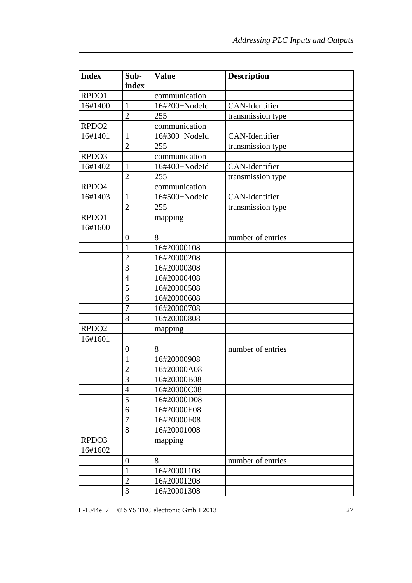| <b>Index</b>      | Sub-<br>index    | <b>Value</b>  | <b>Description</b>    |
|-------------------|------------------|---------------|-----------------------|
| RPDO1             |                  | communication |                       |
| 16#1400           | $\mathbf{1}$     | 16#200+NodeId | CAN-Identifier        |
|                   | $\overline{2}$   | 255           | transmission type     |
| RPDO <sub>2</sub> |                  | communication |                       |
| 16#1401           | 1                | 16#300+NodeId | <b>CAN-Identifier</b> |
|                   | $\overline{2}$   | 255           | transmission type     |
| RPDO3             |                  | communication |                       |
| 16#1402           | 1                | 16#400+NodeId | <b>CAN-Identifier</b> |
|                   | $\overline{2}$   | 255           | transmission type     |
| RPDO4             |                  | communication |                       |
| 16#1403           | $\mathbf{1}$     | 16#500+NodeId | CAN-Identifier        |
|                   | $\overline{2}$   | 255           | transmission type     |
| RPDO1             |                  | mapping       |                       |
| 16#1600           |                  |               |                       |
|                   | $\mathbf{0}$     | 8             | number of entries     |
|                   | 1                | 16#20000108   |                       |
|                   | $\overline{2}$   | 16#20000208   |                       |
|                   | 3                | 16#20000308   |                       |
|                   | $\overline{4}$   | 16#20000408   |                       |
|                   | 5                | 16#20000508   |                       |
|                   | 6                | 16#20000608   |                       |
|                   | $\overline{7}$   | 16#20000708   |                       |
|                   | 8                | 16#20000808   |                       |
| RPDO <sub>2</sub> |                  | mapping       |                       |
| 16#1601           |                  |               |                       |
|                   | $\boldsymbol{0}$ | 8             | number of entries     |
|                   | $\mathbf{1}$     | 16#20000908   |                       |
|                   | $\overline{2}$   | 16#20000A08   |                       |
|                   | 3                | 16#20000B08   |                       |
|                   | $\overline{4}$   | 16#20000C08   |                       |
|                   | 5                | 16#20000D08   |                       |
|                   | 6                | 16#20000E08   |                       |
|                   | $\overline{7}$   | 16#20000F08   |                       |
|                   | 8                | 16#20001008   |                       |
| RPDO3             |                  | mapping       |                       |
| 16#1602           |                  |               |                       |
|                   | $\theta$         | 8             | number of entries     |
|                   | $\mathbf{1}$     | 16#20001108   |                       |
|                   | $\overline{2}$   | 16#20001208   |                       |
|                   | 3                | 16#20001308   |                       |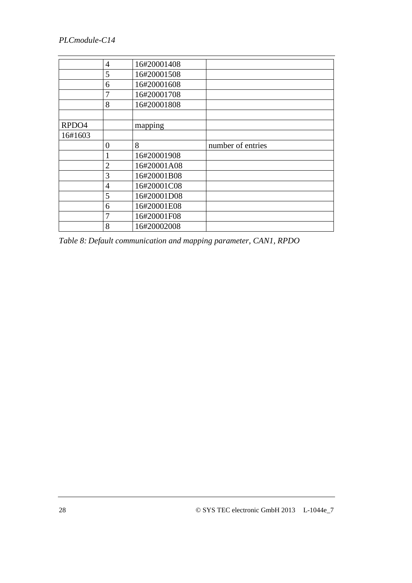|         | $\overline{4}$ | 16#20001408 |                   |
|---------|----------------|-------------|-------------------|
|         | 5              | 16#20001508 |                   |
|         | 6              | 16#20001608 |                   |
|         | 7              | 16#20001708 |                   |
|         | 8              | 16#20001808 |                   |
|         |                |             |                   |
| RPDO4   |                | mapping     |                   |
| 16#1603 |                |             |                   |
|         | $\overline{0}$ | 8           | number of entries |
|         |                | 16#20001908 |                   |
|         | $\overline{2}$ | 16#20001A08 |                   |
|         | 3              | 16#20001B08 |                   |
|         | $\overline{4}$ | 16#20001C08 |                   |
|         | 5              | 16#20001D08 |                   |
|         | 6              | 16#20001E08 |                   |
|         | 7              | 16#20001F08 |                   |
|         | 8              | 16#20002008 |                   |

*Table 8: Default communication and mapping parameter, CAN1, RPDO*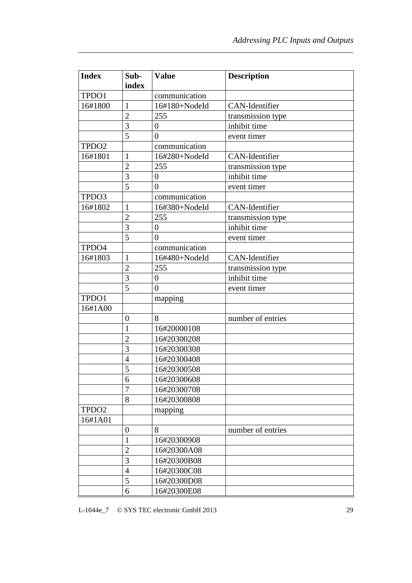| <b>Index</b>      | Sub-           | <b>Value</b>     | <b>Description</b> |
|-------------------|----------------|------------------|--------------------|
|                   | index          |                  |                    |
| TPDO1             |                | communication    |                    |
| 16#1800           | $\mathbf{1}$   | 16#180+NodeId    | CAN-Identifier     |
|                   | $\overline{2}$ | 255              | transmission type  |
|                   | 3              | $\overline{0}$   | inhibit time       |
|                   | 5              | $\overline{0}$   | event timer        |
| TPDO <sub>2</sub> |                | communication    |                    |
| 16#1801           | $\mathbf{1}$   | 16#280+NodeId    | CAN-Identifier     |
|                   | $\overline{2}$ | 255              | transmission type  |
|                   | $\overline{3}$ | $\boldsymbol{0}$ | inhibit time       |
|                   | 5              | $\overline{0}$   | event timer        |
| TPDO3             |                | communication    |                    |
| 16#1802           | 1              | 16#380+NodeId    | CAN-Identifier     |
|                   | $\overline{2}$ | 255              | transmission type  |
|                   | 3              | $\boldsymbol{0}$ | inhibit time       |
|                   | 5              | $\overline{0}$   | event timer        |
| TPDO4             |                | communication    |                    |
| 16#1803           | $\mathbf{1}$   | 16#480+NodeId    | CAN-Identifier     |
|                   | $\overline{2}$ | 255              | transmission type  |
|                   | 3              | $\overline{0}$   | inhibit time       |
|                   | 5              | $\overline{0}$   | event timer        |
| TPDO1             |                | mapping          |                    |
| 16#1A00           |                |                  |                    |
|                   | 0              | 8                | number of entries  |
|                   | 1              | 16#20000108      |                    |
|                   | $\overline{c}$ | 16#20300208      |                    |
|                   | 3              | 16#20300308      |                    |
|                   | $\overline{4}$ | 16#20300408      |                    |
|                   | 5              | 16#20300508      |                    |
|                   | 6              | 16#20300608      |                    |
|                   | $\overline{7}$ | 16#20300708      |                    |
|                   | 8              | 16#20300808      |                    |
| TPDO <sub>2</sub> |                | mapping          |                    |
| 16#1A01           |                |                  |                    |
|                   | 0              | 8                | number of entries  |
|                   | 1              | 16#20300908      |                    |
|                   | $\overline{c}$ | 16#20300A08      |                    |
|                   | 3              | 16#20300B08      |                    |
|                   | 4              | 16#20300C08      |                    |
|                   | 5              | 16#20300D08      |                    |
|                   | 6              | 16#20300E08      |                    |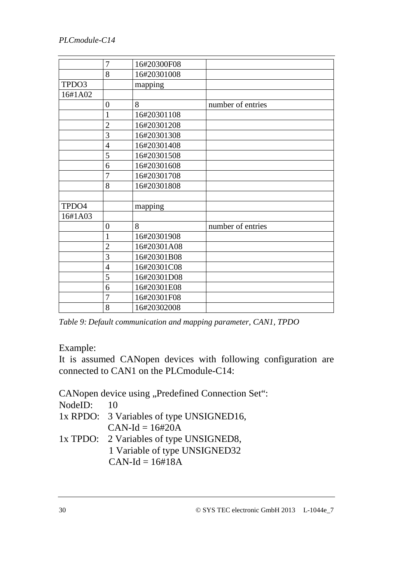|         | 7              | 16#20300F08 |                   |
|---------|----------------|-------------|-------------------|
|         | 8              | 16#20301008 |                   |
| TPDO3   |                | mapping     |                   |
| 16#1A02 |                |             |                   |
|         | $\overline{0}$ | 8           | number of entries |
|         | 1              | 16#20301108 |                   |
|         | $\overline{2}$ | 16#20301208 |                   |
|         | $\overline{3}$ | 16#20301308 |                   |
|         | $\overline{4}$ | 16#20301408 |                   |
|         | 5              | 16#20301508 |                   |
|         | 6              | 16#20301608 |                   |
|         | $\overline{7}$ | 16#20301708 |                   |
|         | 8              | 16#20301808 |                   |
|         |                |             |                   |
| TPDO4   |                | mapping     |                   |
| 16#1A03 |                |             |                   |
|         | $\overline{0}$ | 8           | number of entries |
|         | $\mathbf{1}$   | 16#20301908 |                   |
|         | $\overline{2}$ | 16#20301A08 |                   |
|         | 3              | 16#20301B08 |                   |
|         | $\overline{4}$ | 16#20301C08 |                   |
|         | 5              | 16#20301D08 |                   |
|         | 6              | 16#20301E08 |                   |
|         | 7              | 16#20301F08 |                   |
|         | 8              | 16#20302008 |                   |

*Table 9: Default communication and mapping parameter, CAN1, TPDO* 

Example:

It is assumed CANopen devices with following configuration are connected to CAN1 on the PLCmodule-C14:

CANopen device using "Predefined Connection Set":

NodeID: 10

- 1x RPDO: 3 Variables of type UNSIGNED16,  $CAN-Id = 16#20A$
- 1x TPDO: 2 Variables of type UNSIGNED8, 1 Variable of type UNSIGNED32  $CAN-Id = 16#18A$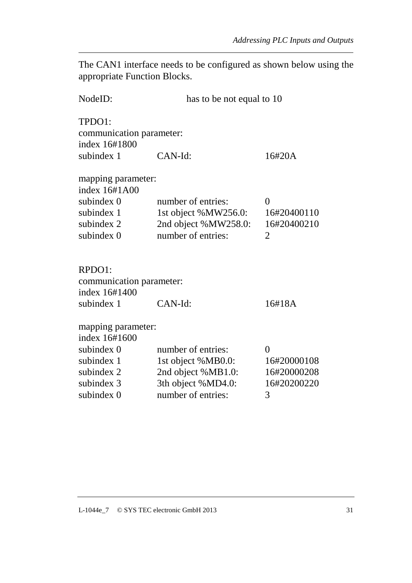The CAN1 interface needs to be configured as shown below using the appropriate Function Blocks.

| NodeID:                                                                                     | has to be not equal to 10                                                                |                                                          |  |
|---------------------------------------------------------------------------------------------|------------------------------------------------------------------------------------------|----------------------------------------------------------|--|
| TPDO1:<br>communication parameter:<br>index 16#1800                                         |                                                                                          |                                                          |  |
| subindex 1                                                                                  | CAN-Id:<br>16#20A                                                                        |                                                          |  |
| mapping parameter:<br>index 16#1A00<br>subindex 0<br>subindex 1<br>subindex 2<br>subindex 0 | number of entries:<br>1st object %MW256.0:<br>2nd object %MW258.0:<br>number of entries: | $\theta$<br>16#20400110<br>16#20400210<br>$\overline{2}$ |  |
| RPDO1:<br>communication parameter:<br>index 16#1400<br>subindex 1                           | CAN-Id:                                                                                  | 16#18A                                                   |  |
| mapping parameter:<br>index 16#1600                                                         |                                                                                          |                                                          |  |
| subindex 0                                                                                  | number of entries:                                                                       | $\theta$                                                 |  |
| subindex 1                                                                                  | 1st object %MB0.0:                                                                       | 16#20000108                                              |  |
| subindex 2                                                                                  | 2nd object %MB1.0:                                                                       | 16#20000208                                              |  |
| subindex 3                                                                                  | 3th object %MD4.0:                                                                       | 16#20200220                                              |  |
| subindex 0                                                                                  | number of entries:<br>3                                                                  |                                                          |  |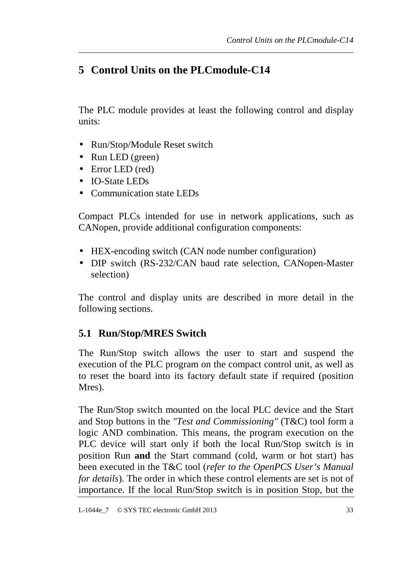# **5 Control Units on the PLCmodule-C14**

The PLC module provides at least the following control and display units:

- Run/Stop/Module Reset switch
- Run LED (green)
- Error LED (red)
- IO-State LEDs
- Communication state LEDs

Compact PLCs intended for use in network applications, such as CANopen, provide additional configuration components:

- HEX-encoding switch (CAN node number configuration)
- DIP switch (RS-232/CAN baud rate selection, CANopen-Master selection)

The control and display units are described in more detail in the following sections.

### **5.1 Run/Stop/MRES Switch**

The Run/Stop switch allows the user to start and suspend the execution of the PLC program on the compact control unit, as well as to reset the board into its factory default state if required (position Mres).

The Run/Stop switch mounted on the local PLC device and the Start and Stop buttons in the *"Test and Commissioning"* (T&C) tool form a logic AND combination. This means, the program execution on the PLC device will start only if both the local Run/Stop switch is in position Run **and** the Start command (cold, warm or hot start) has been executed in the T&C tool (*refer to the OpenPCS User's Manual for details*). The order in which these control elements are set is not of importance. If the local Run/Stop switch is in position Stop, but the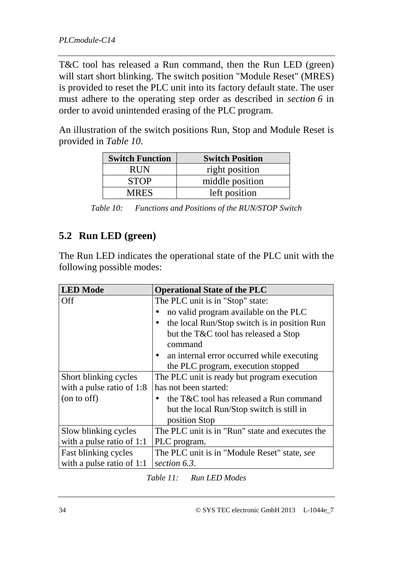T&C tool has released a Run command, then the Run LED (green) will start short blinking. The switch position "Module Reset" (MRES) is provided to reset the PLC unit into its factory default state. The user must adhere to the operating step order as described in *section 6* in order to avoid unintended erasing of the PLC program.

An illustration of the switch positions Run, Stop and Module Reset is provided in *Table 10*.

| <b>Switch Function</b> | <b>Switch Position</b> |
|------------------------|------------------------|
| <b>RUN</b>             | right position         |
| <b>STOP</b>            | middle position        |
| <b>MRES</b>            | left position          |

*Table 10: Functions and Positions of the RUN/STOP Switch* 

### **5.2 Run LED (green)**

The Run LED indicates the operational state of the PLC unit with the following possible modes:

| <b>LED</b> Mode           | <b>Operational State of the PLC</b>             |
|---------------------------|-------------------------------------------------|
| Off                       | The PLC unit is in "Stop" state:                |
|                           | no valid program available on the PLC           |
|                           | the local Run/Stop switch is in position Run    |
|                           | but the T&C tool has released a Stop            |
|                           | command                                         |
|                           | an internal error occurred while executing      |
|                           | the PLC program, execution stopped              |
| Short blinking cycles     | The PLC unit is ready but program execution     |
| with a pulse ratio of 1:8 | has not been started:                           |
| (on to off)               | the T&C tool has released a Run command         |
|                           | but the local Run/Stop switch is still in       |
|                           | position Stop                                   |
| Slow blinking cycles      | The PLC unit is in "Run" state and executes the |
| with a pulse ratio of 1:1 | PLC program.                                    |
| Fast blinking cycles      | The PLC unit is in "Module Reset" state, see    |
| with a pulse ratio of 1:1 | section 6.3.                                    |

*Table 11: Run LED Modes*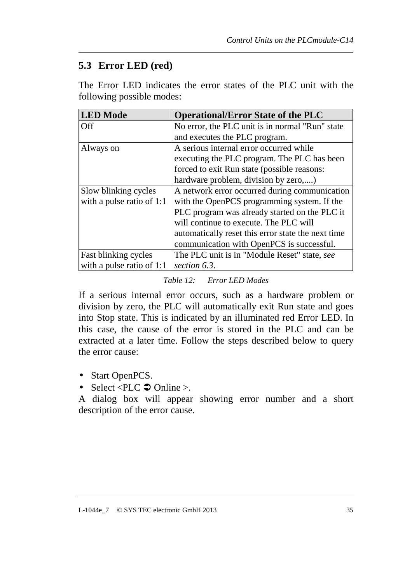# **5.3 Error LED (red)**

The Error LED indicates the error states of the PLC unit with the following possible modes:

| <b>LED</b> Mode           | <b>Operational/Error State of the PLC</b>          |
|---------------------------|----------------------------------------------------|
| Off                       | No error, the PLC unit is in normal "Run" state    |
|                           | and executes the PLC program.                      |
| Always on                 | A serious internal error occurred while            |
|                           | executing the PLC program. The PLC has been        |
|                           | forced to exit Run state (possible reasons:        |
|                           | hardware problem, division by zero,)               |
| Slow blinking cycles      | A network error occurred during communication      |
| with a pulse ratio of 1:1 | with the OpenPCS programming system. If the        |
|                           | PLC program was already started on the PLC it      |
|                           | will continue to execute. The PLC will             |
|                           | automatically reset this error state the next time |
|                           | communication with OpenPCS is successful.          |
| Fast blinking cycles      | The PLC unit is in "Module Reset" state, see       |
| with a pulse ratio of 1:1 | section 6.3.                                       |

#### *Table 12: Error LED Modes*

If a serious internal error occurs, such as a hardware problem or division by zero, the PLC will automatically exit Run state and goes into Stop state. This is indicated by an illuminated red Error LED. In this case, the cause of the error is stored in the PLC and can be extracted at a later time. Follow the steps described below to query the error cause:

- Start OpenPCS.
- Select <PLC  $\supset \text{Online} >$ .

A dialog box will appear showing error number and a short description of the error cause.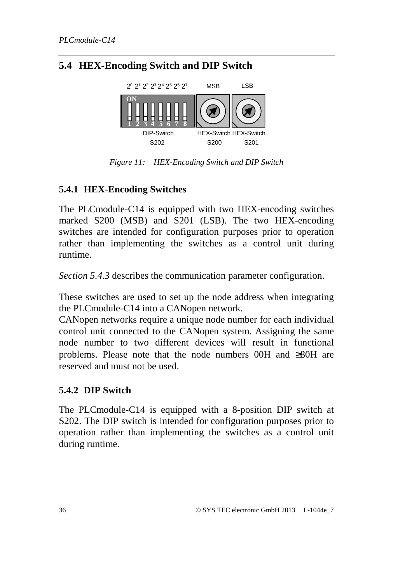# **5.4 HEX-Encoding Switch and DIP Switch**



*Figure 11: HEX-Encoding Switch and DIP Switch* 

### **5.4.1 HEX-Encoding Switches**

The PLCmodule-C14 is equipped with two HEX-encoding switches marked S200 (MSB) and S201 (LSB). The two HEX-encoding switches are intended for configuration purposes prior to operation rather than implementing the switches as a control unit during runtime.

*Section 5.4.3* describes the communication parameter configuration.

These switches are used to set up the node address when integrating the PLCmodule-C14 into a CANopen network.

CANopen networks require a unique node number for each individual control unit connected to the CANopen system. Assigning the same node number to two different devices will result in functional problems. Please note that the node numbers 00H and ≥80H are reserved and must not be used.

### **5.4.2 DIP Switch**

The PLCmodule-C14 is equipped with a 8-position DIP switch at S202. The DIP switch is intended for configuration purposes prior to operation rather than implementing the switches as a control unit during runtime.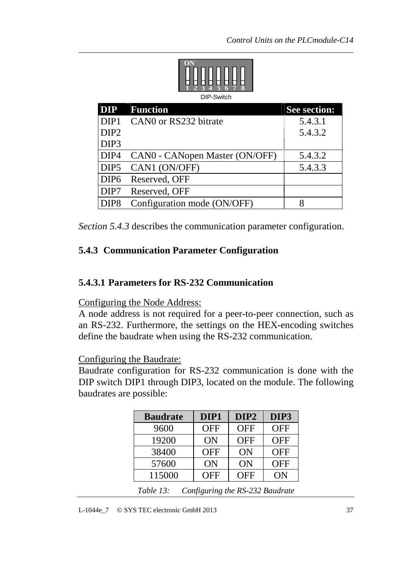

| <b>DIP</b>       | <b>Function</b>                | <b>See section:</b> |
|------------------|--------------------------------|---------------------|
| DIP <sub>1</sub> | CANO or RS232 bitrate          | 5.4.3.1             |
| DIP <sub>2</sub> |                                | 5.4.3.2             |
| DIP <sub>3</sub> |                                |                     |
| DIP4             | CANO - CANopen Master (ON/OFF) | 5.4.3.2             |
| DIP <sub>5</sub> | CAN1 (ON/OFF)                  | 5.4.3.3             |
| DIP <sub>6</sub> | Reserved, OFF                  |                     |
| DIP7             | Reserved, OFF                  |                     |
| DIP <sub>8</sub> | Configuration mode (ON/OFF)    |                     |

*Section 5.4.3* describes the communication parameter configuration.

### **5.4.3 Communication Parameter Configuration**

#### **5.4.3.1 Parameters for RS-232 Communication**

#### Configuring the Node Address:

A node address is not required for a peer-to-peer connection, such as an RS-232. Furthermore, the settings on the HEX-encoding switches define the baudrate when using the RS-232 communication.

Configuring the Baudrate:

Baudrate configuration for RS-232 communication is done with the DIP switch DIP1 through DIP3, located on the module. The following baudrates are possible:

| <b>Baudrate</b>                 | DIP1       | DIP <sub>2</sub> | DIP3              |
|---------------------------------|------------|------------------|-------------------|
| 9600                            | <b>OFF</b> | <b>OFF</b>       | <b>OFF</b>        |
| 19200                           | ON         | <b>OFF</b>       | <b>OFF</b>        |
| 38400                           | <b>OFF</b> | ON               | <b>OFF</b>        |
| 57600                           | ON         | ON               | <b>OFF</b>        |
| 115000                          | <b>OFF</b> | <b>OFF</b>       | ON                |
| $\sim$ $\sim$<br><i>m</i> 11 10 |            |                  | $P(A \cap B) = 1$ |

*Table 13: Configuring the RS-232 Baudrate*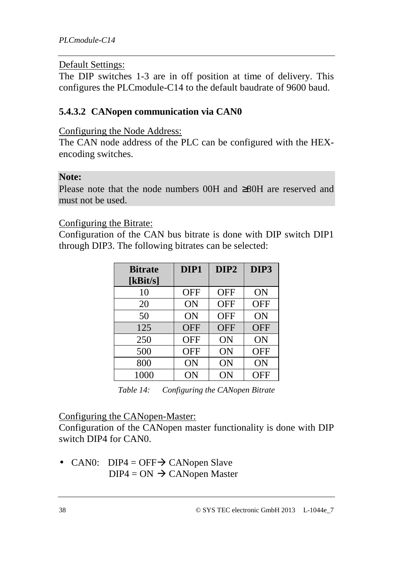#### Default Settings:

The DIP switches 1-3 are in off position at time of delivery. This configures the PLCmodule-C14 to the default baudrate of 9600 baud.

### **5.4.3.2 CANopen communication via CAN0**

Configuring the Node Address:

The CAN node address of the PLC can be configured with the HEXencoding switches.

#### **Note:**

Please note that the node numbers 00H and ≥80H are reserved and must not be used.

Configuring the Bitrate:

Configuration of the CAN bus bitrate is done with DIP switch DIP1 through DIP3. The following bitrates can be selected:

| <b>Bitrate</b> | DIP1       | DIP <sub>2</sub> | DIP3       |
|----------------|------------|------------------|------------|
| [ $kBit/s$ ]   |            |                  |            |
| 10             | <b>OFF</b> | <b>OFF</b>       | ON         |
| 20             | ON         | <b>OFF</b>       | <b>OFF</b> |
| 50             | ON         | <b>OFF</b>       | ON         |
| 125            | <b>OFF</b> | <b>OFF</b>       | <b>OFF</b> |
| 250            | <b>OFF</b> | ON               | ON         |
| 500            | <b>OFF</b> | ON               | <b>OFF</b> |
| 800            | ON         | ON               | ON         |
| 1000           | ON         | ON               | OFF        |

*Table 14: Configuring the CANopen Bitrate* 

#### Configuring the CANopen-Master:

Configuration of the CANopen master functionality is done with DIP switch DIP4 for CAN0.

• CAN0: DIP4 = OFF $\rightarrow$  CANopen Slave  $DIP4 = ON \rightarrow$  CANopen Master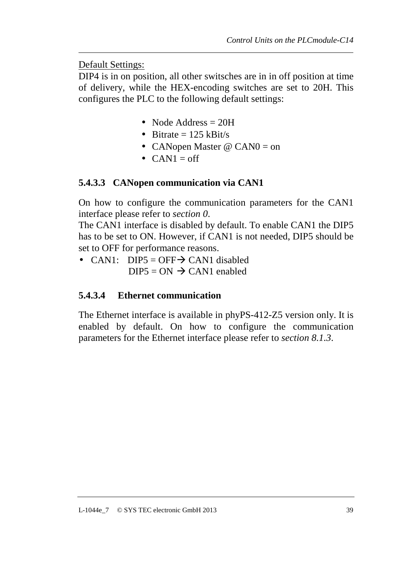Default Settings:

DIP4 is in on position, all other switsches are in in off position at time of delivery, while the HEX-encoding switches are set to 20H. This configures the PLC to the following default settings:

- Node Address = 20H
- Bitrate  $= 125$  kBit/s
- CANopen Master @ CANO = on
- $CAN1 = off$

### **5.4.3.3 CANopen communication via CAN1**

On how to configure the communication parameters for the CAN1 interface please refer to *section 0*.

The CAN1 interface is disabled by default. To enable CAN1 the DIP5 has to be set to ON. However, if CAN1 is not needed, DIP5 should be set to OFF for performance reasons.

• CAN1: DIP5 = OFF $\rightarrow$  CAN1 disabled  $DIP5 = ON \rightarrow CAN1$  enabled

### **5.4.3.4 Ethernet communication**

The Ethernet interface is available in phyPS-412-Z5 version only. It is enabled by default. On how to configure the communication parameters for the Ethernet interface please refer to *section 8.1.3*.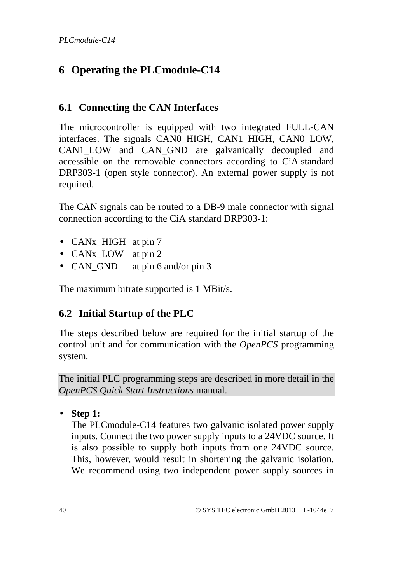# **6 Operating the PLCmodule-C14**

### **6.1 Connecting the CAN Interfaces**

The microcontroller is equipped with two integrated FULL-CAN interfaces. The signals CAN0\_HIGH, CAN1\_HIGH, CAN0\_LOW, CAN1 LOW and CAN GND are galvanically decoupled and accessible on the removable connectors according to CiA standard DRP303-1 (open style connector). An external power supply is not required.

The CAN signals can be routed to a DB-9 male connector with signal connection according to the CiA standard DRP303-1:

- CAN<sub>x</sub> HIGH at pin 7
- CANx LOW at pin 2
- CAN\_GND at pin 6 and/or pin 3

The maximum bitrate supported is 1 MBit/s.

# **6.2 Initial Startup of the PLC**

The steps described below are required for the initial startup of the control unit and for communication with the *OpenPCS* programming system.

The initial PLC programming steps are described in more detail in the *OpenPCS Quick Start Instructions* manual.

• **Step 1:** 

The PLCmodule-C14 features two galvanic isolated power supply inputs. Connect the two power supply inputs to a 24VDC source. It is also possible to supply both inputs from one 24VDC source. This, however, would result in shortening the galvanic isolation. We recommend using two independent power supply sources in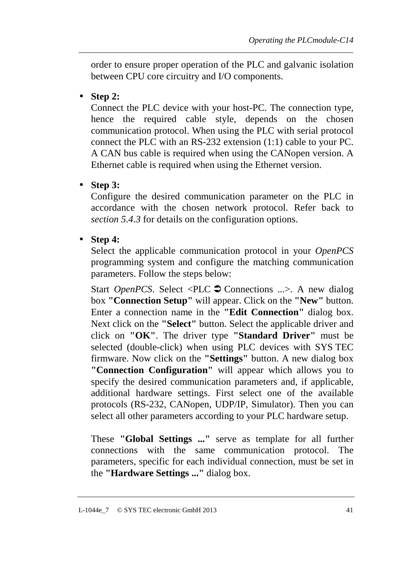order to ensure proper operation of the PLC and galvanic isolation between CPU core circuitry and I/O components.

• **Step 2:** 

Connect the PLC device with your host-PC. The connection type, hence the required cable style, depends on the chosen communication protocol. When using the PLC with serial protocol connect the PLC with an RS-232 extension (1:1) cable to your PC. A CAN bus cable is required when using the CANopen version. A Ethernet cable is required when using the Ethernet version.

• **Step 3:** 

Configure the desired communication parameter on the PLC in accordance with the chosen network protocol. Refer back to *section 5.4.3* for details on the configuration options.

• **Step 4:** 

Select the applicable communication protocol in your *OpenPCS* programming system and configure the matching communication parameters. Follow the steps below:

Start *OpenPCS*. Select <PLC  $\triangleright$  Connections ...>. A new dialog box **"Connection Setup"** will appear. Click on the **"New"** button. Enter a connection name in the **"Edit Connection"** dialog box. Next click on the **"Select"** button. Select the applicable driver and click on **"OK"**. The driver type **"Standard Driver"** must be selected (double-click) when using PLC devices with SYS TEC firmware. Now click on the **"Settings"** button. A new dialog box **"Connection Configuration"** will appear which allows you to specify the desired communication parameters and, if applicable, additional hardware settings. First select one of the available protocols (RS-232, CANopen, UDP/IP, Simulator). Then you can select all other parameters according to your PLC hardware setup.

These **"Global Settings ..."** serve as template for all further connections with the same communication protocol. The parameters, specific for each individual connection, must be set in the **"Hardware Settings ..."** dialog box.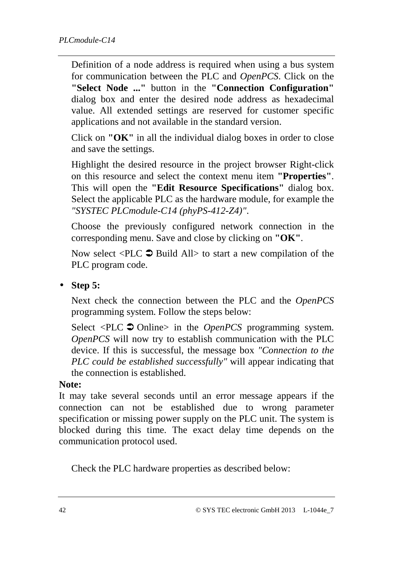Definition of a node address is required when using a bus system for communication between the PLC and *OpenPCS*. Click on the **"Select Node ..."** button in the **"Connection Configuration"** dialog box and enter the desired node address as hexadecimal value. All extended settings are reserved for customer specific applications and not available in the standard version.

Click on **"OK"** in all the individual dialog boxes in order to close and save the settings.

Highlight the desired resource in the project browser Right-click on this resource and select the context menu item **"Properties"**. This will open the **"Edit Resource Specifications"** dialog box. Select the applicable PLC as the hardware module, for example the *"SYSTEC PLCmodule-C14 (phyPS-412-Z4)"*.

Choose the previously configured network connection in the corresponding menu. Save and close by clicking on **"OK"**.

Now select  $\leq$ PLC  $\supset$  Build All> to start a new compilation of the PLC program code.

• **Step 5:** 

Next check the connection between the PLC and the *OpenPCS* programming system. Follow the steps below:

Select <PLC  $\triangleright$  Online> in the *OpenPCS* programming system. *OpenPCS* will now try to establish communication with the PLC device. If this is successful, the message box *"Connection to the PLC could be established successfully"* will appear indicating that the connection is established.

#### **Note:**

It may take several seconds until an error message appears if the connection can not be established due to wrong parameter specification or missing power supply on the PLC unit. The system is blocked during this time. The exact delay time depends on the communication protocol used.

Check the PLC hardware properties as described below: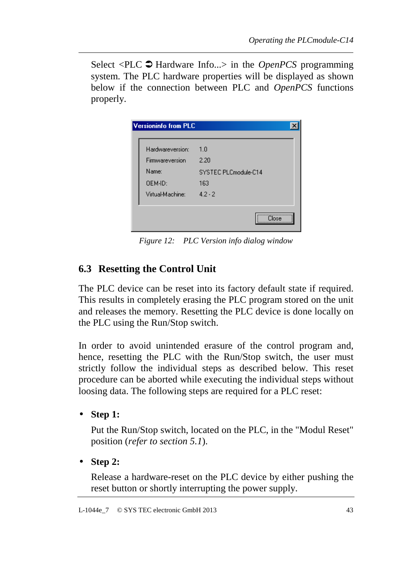Select <PLC  $\triangleright$  Hardware Info...> in the *OpenPCS* programming system. The PLC hardware properties will be displayed as shown below if the connection between PLC and *OpenPCS* functions properly.

| Hardwareversion: | 1.0                  |
|------------------|----------------------|
| Firmwareversion  | 2.20                 |
| Name:            | SYSTEC PLCmodule-C14 |
| OEM-ID:          | 163                  |
| Virtual-Machine: | $4.2 - 2$            |

*Figure 12: PLC Version info dialog window* 

# **6.3 Resetting the Control Unit**

The PLC device can be reset into its factory default state if required. This results in completely erasing the PLC program stored on the unit and releases the memory. Resetting the PLC device is done locally on the PLC using the Run/Stop switch.

In order to avoid unintended erasure of the control program and, hence, resetting the PLC with the Run/Stop switch, the user must strictly follow the individual steps as described below. This reset procedure can be aborted while executing the individual steps without loosing data. The following steps are required for a PLC reset:

• **Step 1:** 

Put the Run/Stop switch, located on the PLC, in the "Modul Reset" position (*refer to section 5.1*).

• **Step 2:** 

Release a hardware-reset on the PLC device by either pushing the reset button or shortly interrupting the power supply.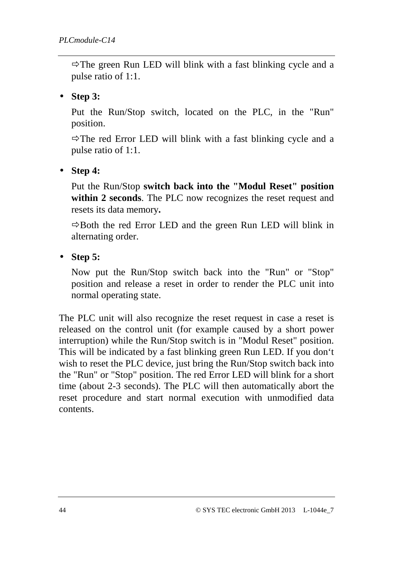$\Rightarrow$  The green Run LED will blink with a fast blinking cycle and a pulse ratio of 1:1.

### • **Step 3:**

Put the Run/Stop switch, located on the PLC, in the "Run" position.

 $\Rightarrow$  The red Error LED will blink with a fast blinking cycle and a pulse ratio of 1:1.

• **Step 4:** 

Put the Run/Stop **switch back into the "Modul Reset" position within 2 seconds**. The PLC now recognizes the reset request and resets its data memory**.**

 $\Rightarrow$  Both the red Error LED and the green Run LED will blink in alternating order.

• **Step 5:** 

Now put the Run/Stop switch back into the "Run" or "Stop" position and release a reset in order to render the PLC unit into normal operating state.

The PLC unit will also recognize the reset request in case a reset is released on the control unit (for example caused by a short power interruption) while the Run/Stop switch is in "Modul Reset" position. This will be indicated by a fast blinking green Run LED. If you don't wish to reset the PLC device, just bring the Run/Stop switch back into the "Run" or "Stop" position. The red Error LED will blink for a short time (about 2-3 seconds). The PLC will then automatically abort the reset procedure and start normal execution with unmodified data contents.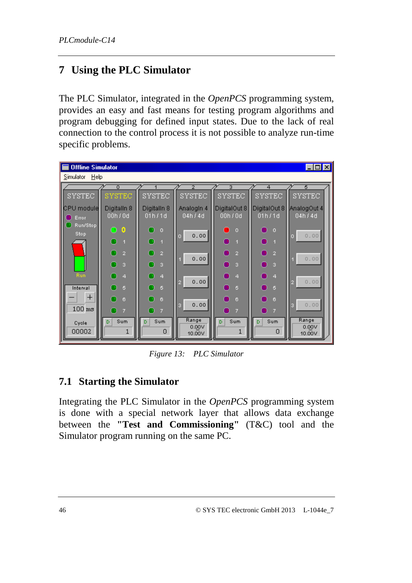# **7 Using the PLC Simulator**

The PLC Simulator, integrated in the *OpenPCS* programming system, provides an easy and fast means for testing program algorithms and program debugging for defined input states. Due to the lack of real connection to the control process it is not possible to analyze run-time specific problems.



*Figure 13: PLC Simulator* 

### **7.1 Starting the Simulator**

Integrating the PLC Simulator in the *OpenPCS* programming system is done with a special network layer that allows data exchange between the **"Test and Commissioning"** (T&C) tool and the Simulator program running on the same PC.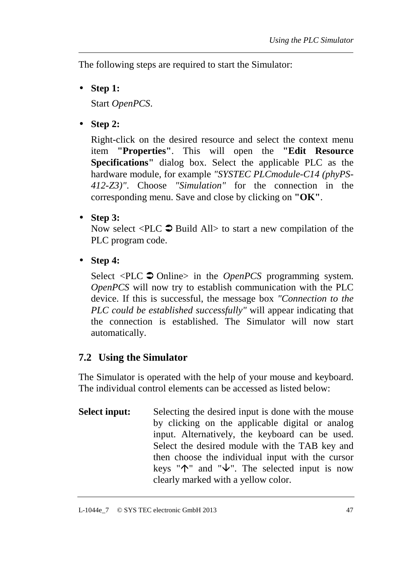The following steps are required to start the Simulator:

• **Step 1:** 

Start *OpenPCS*.

• **Step 2:** 

Right-click on the desired resource and select the context menu item **"Properties"**. This will open the **"Edit Resource Specifications"** dialog box. Select the applicable PLC as the hardware module, for example *"SYSTEC PLCmodule-C14 (phyPS-412-Z3)"*. Choose *"Simulation"* for the connection in the corresponding menu. Save and close by clicking on **"OK"**.

• **Step 3:** 

Now select  $\langle$ PLC  $\bullet$  Build All> to start a new compilation of the PLC program code.

• **Step 4:** 

Select <PLC  $\triangle$  Online> in the *OpenPCS* programming system. *OpenPCS* will now try to establish communication with the PLC device. If this is successful, the message box *"Connection to the PLC could be established successfully"* will appear indicating that the connection is established. The Simulator will now start automatically.

# **7.2 Using the Simulator**

The Simulator is operated with the help of your mouse and keyboard. The individual control elements can be accessed as listed below:

**Select input:** Selecting the desired input is done with the mouse by clicking on the applicable digital or analog input. Alternatively, the keyboard can be used. Select the desired module with the TAB key and then choose the individual input with the cursor keys " $\uparrow$ " and " $\downarrow$ ". The selected input is now clearly marked with a yellow color.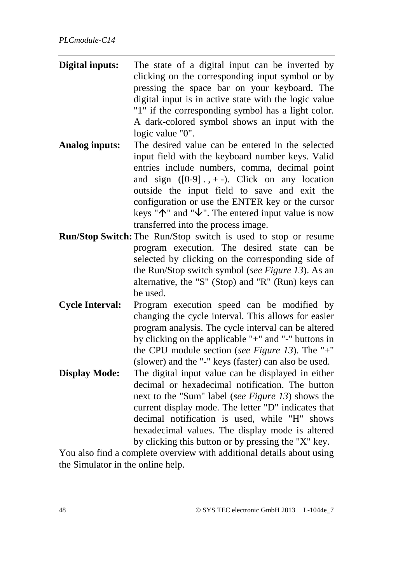- **Digital inputs:** The state of a digital input can be inverted by clicking on the corresponding input symbol or by pressing the space bar on your keyboard. The digital input is in active state with the logic value "1" if the corresponding symbol has a light color. A dark-colored symbol shows an input with the logic value "0".
- **Analog inputs:** The desired value can be entered in the selected input field with the keyboard number keys. Valid entries include numbers, comma, decimal point and sign  $([0-9]$ .,  $+$ -). Click on any location outside the input field to save and exit the configuration or use the ENTER key or the cursor keys " $\uparrow$ " and " $\downarrow$ ". The entered input value is now transferred into the process image.
- **Run/Stop Switch:** The Run/Stop switch is used to stop or resume program execution. The desired state can be selected by clicking on the corresponding side of the Run/Stop switch symbol (*see Figure 13*). As an alternative, the "S" (Stop) and "R" (Run) keys can be used.
- **Cycle Interval:** Program execution speed can be modified by changing the cycle interval. This allows for easier program analysis. The cycle interval can be altered by clicking on the applicable "+" and "-" buttons in the CPU module section (*see Figure 13*). The "+" (slower) and the "-" keys (faster) can also be used.
- **Display Mode:** The digital input value can be displayed in either decimal or hexadecimal notification. The button next to the "Sum" label (*see Figure 13*) shows the current display mode. The letter "D" indicates that decimal notification is used, while "H" shows hexadecimal values. The display mode is altered by clicking this button or by pressing the "X" key.

You also find a complete overview with additional details about using the Simulator in the online help.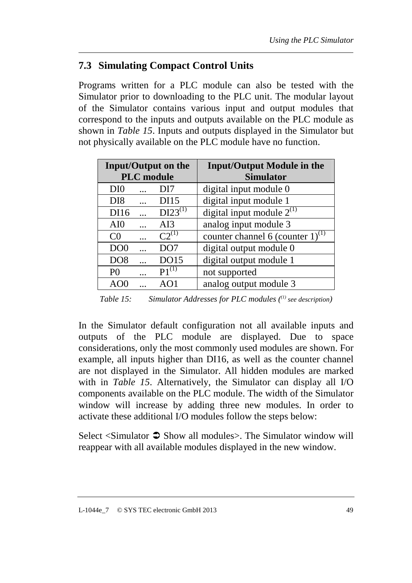# **7.3 Simulating Compact Control Units**

Programs written for a PLC module can also be tested with the Simulator prior to downloading to the PLC unit. The modular layout of the Simulator contains various input and output modules that correspond to the inputs and outputs available on the PLC module as shown in *Table 15*. Inputs and outputs displayed in the Simulator but not physically available on the PLC module have no function.

| <b>Input/Output on the</b> |           |                 | <b>Input/Output Module in the</b>     |
|----------------------------|-----------|-----------------|---------------------------------------|
| <b>PLC</b> module          |           |                 | <b>Simulator</b>                      |
| DI <sub>0</sub>            |           | DI <sub>7</sub> | digital input module 0                |
| D <sub>I8</sub>            | $\cdots$  | <b>DI15</b>     | digital input module 1                |
| DI16                       | $\ddotsc$ | $DI23^{(1)}$    | digital input module $2^{(1)}$        |
| AI0                        |           | AI3             | analog input module 3                 |
| C <sub>0</sub>             | $\ddotsc$ | $C2^{(1)}$      | counter channel 6 (counter $1)^{(1)}$ |
| DO <sub>0</sub>            |           | DO <sub>7</sub> | digital output module 0               |
| DO <sub>8</sub>            |           | DO15            | digital output module 1               |
| P <sub>0</sub>             | $\ddotsc$ | $P1^{(1)}$      | not supported                         |
| A()                        |           | AO1             | analog output module 3                |

*Table 15: Simulator Addresses for PLC modules ((1) see description)* 

In the Simulator default configuration not all available inputs and outputs of the PLC module are displayed. Due to space considerations, only the most commonly used modules are shown. For example, all inputs higher than DI16, as well as the counter channel are not displayed in the Simulator. All hidden modules are marked with in *Table 15*. Alternatively, the Simulator can display all I/O components available on the PLC module. The width of the Simulator window will increase by adding three new modules. In order to activate these additional I/O modules follow the steps below:

Select <Simulator  $\bullet$  Show all modules>. The Simulator window will reappear with all available modules displayed in the new window.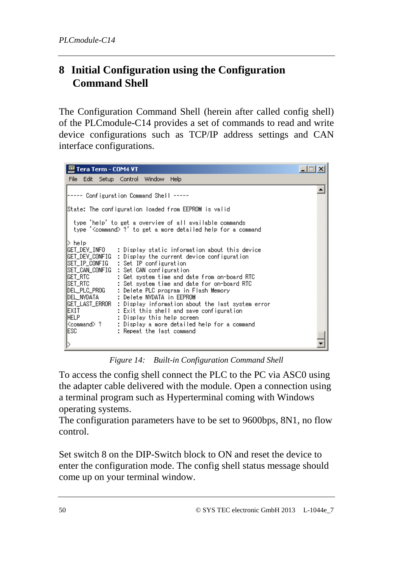# **8 Initial Configuration using the Configuration Command Shell**

The Configuration Command Shell (herein after called config shell) of the PLCmodule-C14 provides a set of commands to read and write device configurations such as TCP/IP address settings and CAN interface configurations.

| 四 Tera Term - COM4 VT                                                                                                                                                                                                                                                                                                                                                                                                                                                                                                                                                                                                                             |  |
|---------------------------------------------------------------------------------------------------------------------------------------------------------------------------------------------------------------------------------------------------------------------------------------------------------------------------------------------------------------------------------------------------------------------------------------------------------------------------------------------------------------------------------------------------------------------------------------------------------------------------------------------------|--|
| File Edit Setup Control Window<br>Help                                                                                                                                                                                                                                                                                                                                                                                                                                                                                                                                                                                                            |  |
| Configuration Command Shell -----                                                                                                                                                                                                                                                                                                                                                                                                                                                                                                                                                                                                                 |  |
| State: The configuration loaded from EEPROM is valid                                                                                                                                                                                                                                                                                                                                                                                                                                                                                                                                                                                              |  |
| type 'help' to get a overview of all available commands<br>type ' <command/> ?' to get a more detailed help for a command                                                                                                                                                                                                                                                                                                                                                                                                                                                                                                                         |  |
| > help<br>IGET_DEV_INFO      : Display static information about this device<br>GET_DEV_CONFIG : Display the current device configuration<br>IGET_RTC<br>: Get system time and date from on-board RTC<br> SET_RTC<br>: Set system time and date for on-board RTC<br>DEL_PLC_PROG<br>: Delete PLC program in Flash Memory<br>: Delete NVDATA in EEPROM<br>IDEL_NVDATA<br>IGET_LAST_ERROR : Display information about the last system error<br>IEXIT<br>: Exit this shell and save configuration.<br><b>IHELP</b><br>: Display this help screen<br>Kcommand> ?<br>: Display a more detailed help for a command<br>IESC.<br>: Repeat the last command |  |

*Figure 14: Built-in Configuration Command Shell* 

To access the config shell connect the PLC to the PC via ASC0 using the adapter cable delivered with the module. Open a connection using a terminal program such as Hyperterminal coming with Windows operating systems.

The configuration parameters have to be set to 9600bps, 8N1, no flow control.

Set switch 8 on the DIP-Switch block to ON and reset the device to enter the configuration mode. The config shell status message should come up on your terminal window.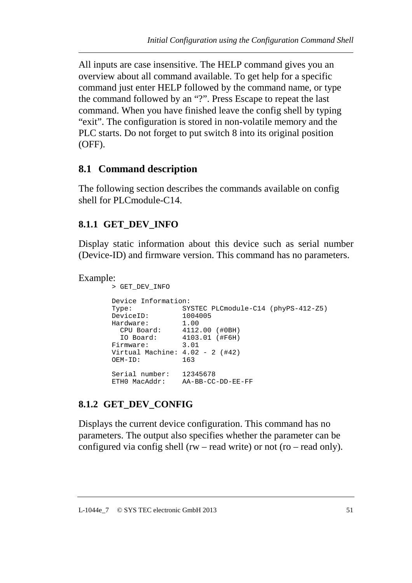All inputs are case insensitive. The HELP command gives you an overview about all command available. To get help for a specific command just enter HELP followed by the command name, or type the command followed by an "?". Press Escape to repeat the last command. When you have finished leave the config shell by typing "exit". The configuration is stored in non-volatile memory and the PLC starts. Do not forget to put switch 8 into its original position (OFF).

### **8.1 Command description**

The following section describes the commands available on config shell for PLCmodule-C14.

### **8.1.1 GET\_DEV\_INFO**

Display static information about this device such as serial number (Device-ID) and firmware version. This command has no parameters.

```
Example:
```

```
> GET_DEV_INFO 
Device Information: 
Type: SYSTEC PLCmodule-C14 (phyPS-412-Z5) 
DeviceID: 1004005 
Hardware: 1.00 
 CPU Board: 4112.00 (#0BH) 
 IO Board: 4103.01 (#F6H) 
Firmware: 3.01 
Virtual Machine: 4.02 - 2 (#42)<br>OEM-ID: 163OEM-ID:
Serial number: 12345678 
ETH0 MacAddr: AA-BB-CC-DD-EE-FF
```
### **8.1.2 GET\_DEV\_CONFIG**

Displays the current device configuration. This command has no parameters. The output also specifies whether the parameter can be configured via config shell (rw – read write) or not (ro – read only).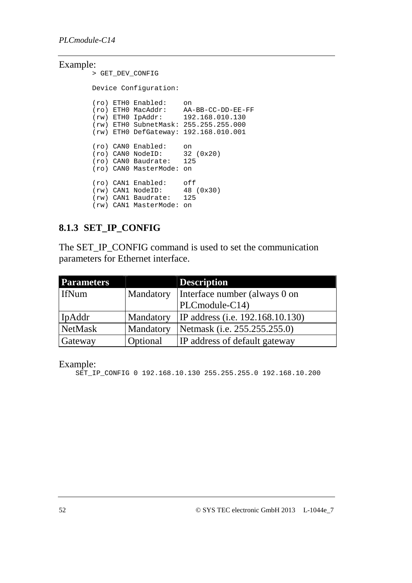#### Example:

```
> GET_DEV_CONFIG 
Device Configuration: 
(ro) ETH0 Enabled: on 
(ro) ETH0 MacAddr: AA-BB-CC-DD-EE-FF 
(rw) ETH0 IpAddr: 192.168.010.130 
(rw) ETH0 SubnetMask: 255.255.255.000 
(rw) ETH0 DefGateway: 192.168.010.001 
(ro) CAN0 Enabled: on 
(ro) CAN0 NodeID: 32 (0x20) 
(ro) CAN0 Baudrate: 125 
(ro) CAN0 MasterMode: on 
(ro) CAN1 Enabled: off 
(rw) CAN1 NodeID: 48 (0x30) 
(rw) CAN1 Baudrate: 125 
(rw) CAN1 MasterMode: on
```
### **8.1.3 SET\_IP\_CONFIG**

The SET\_IP\_CONFIG command is used to set the communication parameters for Ethernet interface.

| <b>Parameters</b> |                  | <b>Description</b>                   |
|-------------------|------------------|--------------------------------------|
| <b>IfNum</b>      | Mandatory        | Interface number (always 0 on        |
|                   |                  | $PLComodule-C14$                     |
| IpAddr            | <b>Mandatory</b> | IP address (i.e. 192.168.10.130)     |
| NetMask           | Mandatory        | Netmask (i.e. 255.255.255.0)         |
| Gateway           | Optional         | <b>IP</b> address of default gateway |

Example:

SET\_IP\_CONFIG 0 192.168.10.130 255.255.255.0 192.168.10.200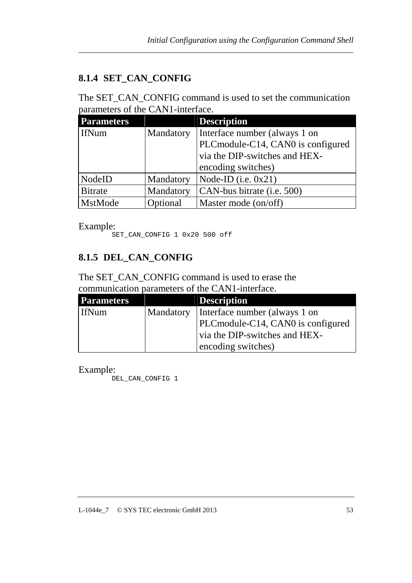# **8.1.4 SET\_CAN\_CONFIG**

The SET\_CAN\_CONFIG command is used to set the communication parameters of the CAN1-interface.

| <b>Parameters</b> |           | <b>Description</b>                |
|-------------------|-----------|-----------------------------------|
| <b>IfNum</b>      | Mandatory | Interface number (always 1 on     |
|                   |           | PLCmodule-C14, CAN0 is configured |
|                   |           | via the DIP-switches and HEX-     |
|                   |           | encoding switches)                |
| <b>NodeID</b>     | Mandatory | Node-ID (i.e. $0x21$ )            |
| <b>Bitrate</b>    | Mandatory | CAN-bus bitrate (i.e. 500)        |
| MstMode           | Optional  | Master mode (on/off)              |

Example:

SET\_CAN\_CONFIG 1 0x20 500 off

### **8.1.5 DEL\_CAN\_CONFIG**

The SET\_CAN\_CONFIG command is used to erase the communication parameters of the CAN1-interface.

| <b>Parameters</b> | <b>Description</b>                        |
|-------------------|-------------------------------------------|
| <b>IfNum</b>      | Mandatory   Interface number (always 1 on |
|                   | PLCmodule-C14, CAN0 is configured         |
|                   | via the DIP-switches and HEX-             |
|                   | encoding switches)                        |

Example:

DEL\_CAN\_CONFIG 1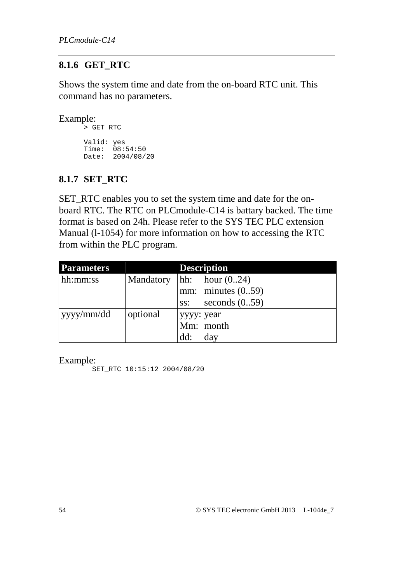### **8.1.6 GET\_RTC**

Shows the system time and date from the on-board RTC unit. This command has no parameters.

```
Example:
```
> GET\_RTC Valid: yes Time: 08:54:50 Date: 2004/08/20

### **8.1.7 SET\_RTC**

SET\_RTC enables you to set the system time and date for the onboard RTC. The RTC on PLCmodule-C14 is battary backed. The time format is based on 24h. Please refer to the SYS TEC PLC extension Manual (l-1054) for more information on how to accessing the RTC from within the PLC program.

| <b>Parameters</b> |           |            | <b>Description</b>       |
|-------------------|-----------|------------|--------------------------|
| hh:mm:ss          | Mandatory |            | $\vert$ hh: hour $(024)$ |
|                   |           |            | mm: minutes $(0.59)$     |
|                   |           |            | ss: seconds $(0.59)$     |
| yyyy/mm/dd        | optional  | yyyy: year |                          |
|                   |           |            | Mm: month                |
|                   |           | dd:        | day                      |

Example:

SET\_RTC 10:15:12 2004/08/20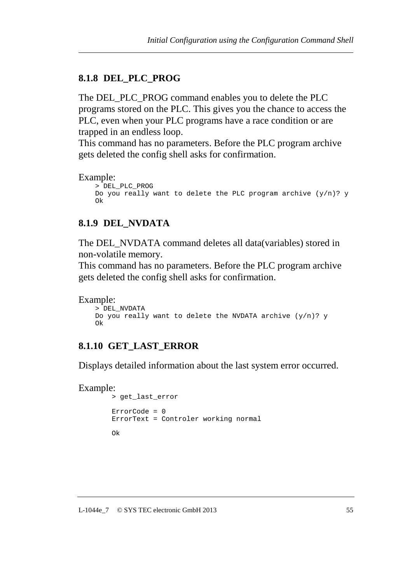#### **8.1.8 DEL\_PLC\_PROG**

The DEL\_PLC\_PROG command enables you to delete the PLC programs stored on the PLC. This gives you the chance to access the PLC, even when your PLC programs have a race condition or are trapped in an endless loop.

This command has no parameters. Before the PLC program archive gets deleted the config shell asks for confirmation.

#### Example:

```
> DEL_PLC_PROG 
Do you really want to delete the PLC program archive (y/n)? y
Ok
```
### **8.1.9 DEL\_NVDATA**

The DEL\_NVDATA command deletes all data(variables) stored in non-volatile memory.

This command has no parameters. Before the PLC program archive gets deleted the config shell asks for confirmation.

```
Example:
```

```
> DEL_NVDATA 
Do you really want to delete the NVDATA archive (y/n)? y
Ok
```
### **8.1.10 GET\_LAST\_ERROR**

Displays detailed information about the last system error occurred.

```
Example:
```

```
> get_last_error 
ErrorCode = 0 
ErrorText = Controler working normal 
Ok
```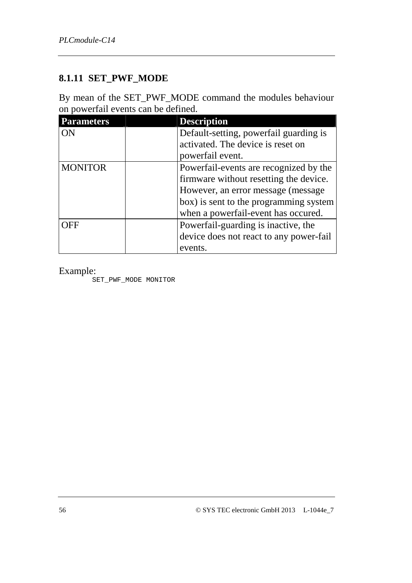### **8.1.11 SET\_PWF\_MODE**

By mean of the SET\_PWF\_MODE command the modules behaviour on powerfail events can be defined.

| <b>Parameters</b> | <b>Description</b>                      |
|-------------------|-----------------------------------------|
| ON                | Default-setting, powerfail guarding is  |
|                   | activated. The device is reset on       |
|                   | powerfail event.                        |
| <b>MONITOR</b>    | Powerfail-events are recognized by the  |
|                   | firmware without resetting the device.  |
|                   | However, an error message (message)     |
|                   | box) is sent to the programming system  |
|                   | when a powerfail-event has occured.     |
| )FF               | Powerfail-guarding is inactive, the     |
|                   | device does not react to any power-fail |
|                   | events.                                 |

Example:

SET\_PWF\_MODE MONITOR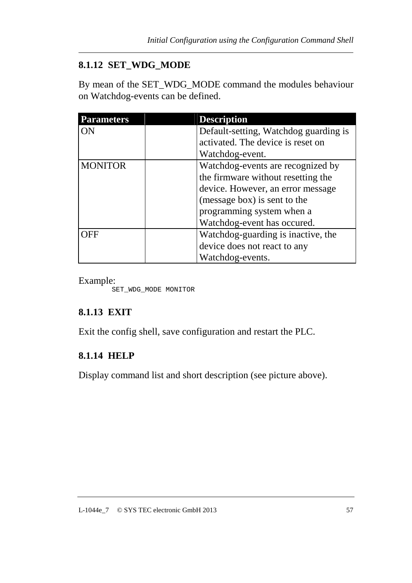## **8.1.12 SET\_WDG\_MODE**

By mean of the SET\_WDG\_MODE command the modules behaviour on Watchdog-events can be defined.

| <b>Parameters</b> | <b>Description</b>                    |
|-------------------|---------------------------------------|
| ON                | Default-setting, Watchdog guarding is |
|                   | activated. The device is reset on     |
|                   | Watchdog-event.                       |
| <b>MONITOR</b>    | Watchdog-events are recognized by     |
|                   | the firmware without resetting the    |
|                   | device. However, an error message     |
|                   | (message box) is sent to the          |
|                   | programming system when a             |
|                   | Watchdog-event has occured.           |
| )FF               | Watchdog-guarding is inactive, the    |
|                   | device does not react to any          |
|                   | Watchdog-events.                      |

Example:

SET\_WDG\_MODE MONITOR

# **8.1.13 EXIT**

Exit the config shell, save configuration and restart the PLC.

# **8.1.14 HELP**

Display command list and short description (see picture above).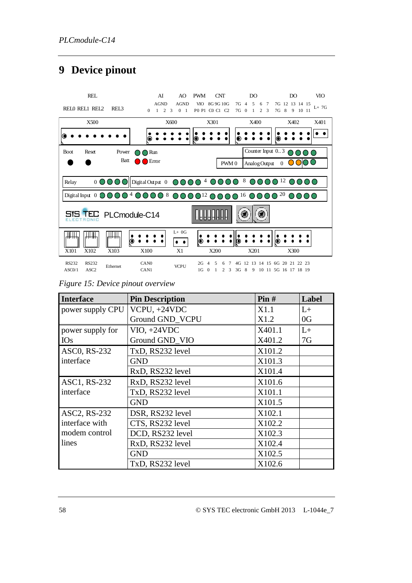# **9 Device pinout**



*Figure 15: Device pinout overview* 

| <b>Interface</b> | <b>Pin Description</b> | Pin#   | Label |
|------------------|------------------------|--------|-------|
| power supply CPU | $VCPU, +24VDC$         | X1.1   | $L+$  |
|                  | Ground GND_VCPU        | X1.2   | 0G    |
| power supply for | $VIO, +24VDC$          | X401.1 | $L+$  |
| <b>IOs</b>       | Ground GND_VIO         | X401.2 | 7G    |
| ASC0, RS-232     | TxD, RS232 level       | X101.2 |       |
| interface        | <b>GND</b>             | X101.3 |       |
|                  | RxD, RS232 level       | X101.4 |       |
| ASC1, RS-232     | RxD, RS232 level       | X101.6 |       |
| interface        | TxD, RS232 level       | X101.1 |       |
|                  | <b>GND</b>             | X101.5 |       |
| ASC2, RS-232     | DSR, RS232 level       | X102.1 |       |
| interface with   | CTS, RS232 level       | X102.2 |       |
| modem control    | DCD, RS232 level       | X102.3 |       |
| lines            | RxD, RS232 level       | X102.4 |       |
|                  | <b>GND</b>             | X102.5 |       |
|                  | TxD, RS232 level       | X102.6 |       |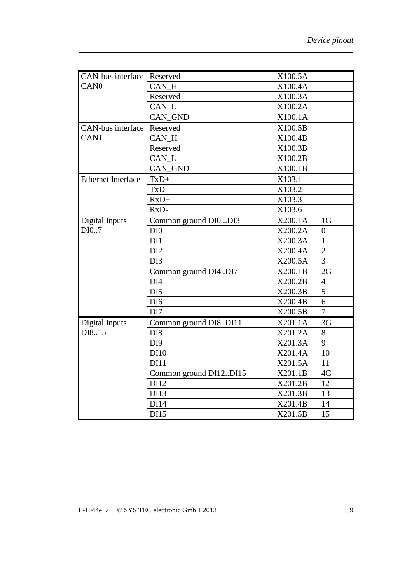| <b>CAN-bus interface Reserved</b> |                        | X100.5A |                |
|-----------------------------------|------------------------|---------|----------------|
| CAN <sub>0</sub>                  | CAN_H                  | X100.4A |                |
|                                   | Reserved               | X100.3A |                |
|                                   | CAN L                  | X100.2A |                |
|                                   | CAN_GND                | X100.1A |                |
| CAN-bus interface                 | Reserved               | X100.5B |                |
| CAN <sub>1</sub>                  | CAN H                  | X100.4B |                |
|                                   | Reserved               | X100.3B |                |
|                                   | CAN L                  | X100.2B |                |
|                                   | CAN GND                | X100.1B |                |
| <b>Ethernet Interface</b>         | $TxD+$                 | X103.1  |                |
|                                   | TxD-                   | X103.2  |                |
|                                   | $RxD+$                 | X103.3  |                |
|                                   | RxD-                   | X103.6  |                |
| Digital Inputs                    | Common ground DI0DI3   | X200.1A | 1 <sub>G</sub> |
| DI0.7                             | DI <sub>0</sub>        | X200.2A | $\overline{0}$ |
|                                   | DI1                    | X200.3A | $\mathbf{1}$   |
|                                   | DI2                    | X200.4A | $\overline{2}$ |
|                                   | DI3                    | X200.5A | $\overline{3}$ |
|                                   | Common ground DI4DI7   | X200.1B | 2G             |
|                                   | DI <sub>4</sub>        | X200.2B | $\overline{4}$ |
|                                   | DI <sub>5</sub>        | X200.3B | 5              |
|                                   | DI <sub>6</sub>        | X200.4B | 6              |
|                                   | DI7                    | X200.5B | $\overline{7}$ |
| Digital Inputs                    | Common ground DI8DI11  | X201.1A | 3 <sub>G</sub> |
| DI8.15                            | DI <sub>8</sub>        | X201.2A | 8              |
|                                   | DI <sub>9</sub>        | X201.3A | 9              |
|                                   | DI10                   | X201.4A | 10             |
|                                   | <b>DI11</b>            | X201.5A | 11             |
|                                   | Common ground DI12DI15 | X201.1B | 4G             |
|                                   | DI12                   | X201.2B | 12             |
|                                   | DI13                   | X201.3B | 13             |
|                                   | DI14                   | X201.4B | 14             |
|                                   | DI15                   | X201.5B | 15             |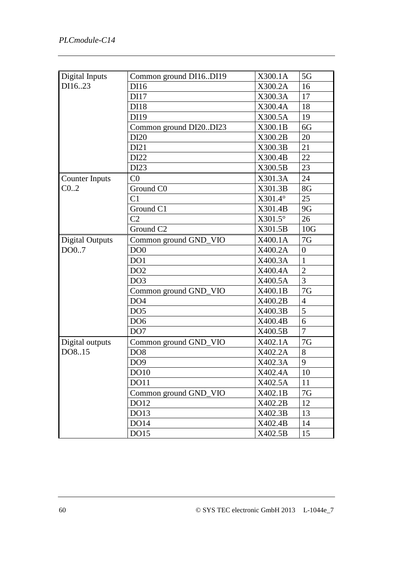| Digital Inputs         | Common ground DI16DI19 | X300.1A        | 5G             |
|------------------------|------------------------|----------------|----------------|
| DI1623                 | DI16                   | X300.2A        | 16             |
|                        | <b>DI17</b>            | X300.3A        | 17             |
|                        | <b>DI18</b>            | X300.4A        | 18             |
|                        | DI19                   | X300.5A        | 19             |
|                        | Common ground DI20DI23 | X300.1B        | 6G             |
|                        | DI20                   | X300.2B        | 20             |
|                        | DI21                   | X300.3B        | 21             |
|                        | DI22                   | X300.4B        | 22             |
|                        | DI23                   | X300.5B        | 23             |
| <b>Counter Inputs</b>  | C <sub>0</sub>         | X301.3A        | 24             |
| C <sub>02</sub>        | Ground C0              | X301.3B        | 8G             |
|                        | C <sub>1</sub>         | $X301.4^\circ$ | 25             |
|                        | Ground C1              | X301.4B        | 9G             |
|                        | C <sub>2</sub>         | $X301.5^\circ$ | 26             |
|                        | Ground C <sub>2</sub>  | X301.5B        | 10G            |
| <b>Digital Outputs</b> | Common ground GND_VIO  | X400.1A        | 7G             |
| DO0.7                  | DO <sub>0</sub>        | X400.2A        | $\overline{0}$ |
|                        | DO1                    | X400.3A        | $\mathbf{1}$   |
|                        | DO <sub>2</sub>        | X400.4A        | $\overline{2}$ |
|                        | DO <sub>3</sub>        | X400.5A        | 3              |
|                        | Common ground GND_VIO  | X400.1B        | 7G             |
|                        | DO <sub>4</sub>        | X400.2B        | $\overline{4}$ |
|                        | DO <sub>5</sub>        | X400.3B        | 5              |
|                        | DO <sub>6</sub>        | X400.4B        | 6              |
|                        | DO <sub>7</sub>        | X400.5B        | $\overline{7}$ |
| Digital outputs        | Common ground GND_VIO  | X402.1A        | 7G             |
| DO8.15                 | DO <sub>8</sub>        | X402.2A        | 8              |
|                        | DO <sub>9</sub>        | X402.3A        | 9              |
|                        | <b>DO10</b>            | X402.4A        | 10             |
|                        | <b>DO11</b>            | X402.5A        | 11             |
|                        | Common ground GND_VIO  | X402.1B        | 7G             |
|                        | DO12                   | X402.2B        | 12             |
|                        | DO13                   | X402.3B        | 13             |
|                        | <b>DO14</b>            | X402.4B        | 14             |
|                        | DO15                   | X402.5B        | 15             |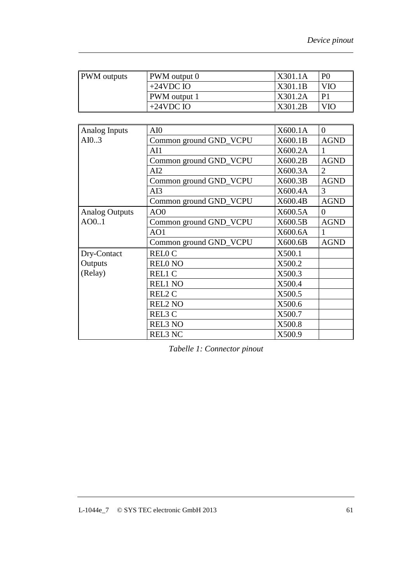| <b>PWM</b> outputs | <b>PWM</b> output 0 | X301.1A | P <sub>0</sub> |
|--------------------|---------------------|---------|----------------|
|                    | $+24$ VDC IO        | X301.1B | VIO            |
|                    | <b>PWM</b> output 1 | X301.2A |                |
|                    | $+24$ VDC IO        | X301.2B | VIO            |

| Analog Inputs         | AI0                    | X600.1A | $\overline{0}$ |
|-----------------------|------------------------|---------|----------------|
| AI0.3                 | Common ground GND_VCPU | X600.1B | <b>AGND</b>    |
|                       | AI1                    | X600.2A |                |
|                       | Common ground GND_VCPU | X600.2B | <b>AGND</b>    |
|                       | AI2                    | X600.3A | 2              |
|                       | Common ground GND_VCPU | X600.3B | <b>AGND</b>    |
|                       | AI3                    | X600.4A | 3              |
|                       | Common ground GND_VCPU | X600.4B | <b>AGND</b>    |
| <b>Analog Outputs</b> | AOO                    | X600.5A | $\theta$       |
| AO0.1                 | Common ground GND_VCPU | X600.5B | <b>AGND</b>    |
|                       | AO1                    | X600.6A | 1              |
|                       | Common ground GND_VCPU | X600.6B | <b>AGND</b>    |
| Dry-Contact           | <b>RELOC</b>           | X500.1  |                |
| Outputs               | <b>RELONO</b>          | X500.2  |                |
| (Relay)               | <b>REL1 C</b>          | X500.3  |                |
|                       | <b>REL1 NO</b>         | X500.4  |                |
|                       | REL2 C                 | X500.5  |                |
|                       | <b>REL2 NO</b>         | X500.6  |                |
|                       | REL3 C                 | X500.7  |                |
|                       | <b>REL3 NO</b>         | X500.8  |                |
|                       | <b>REL3 NC</b>         | X500.9  |                |

*Tabelle 1: Connector pinout*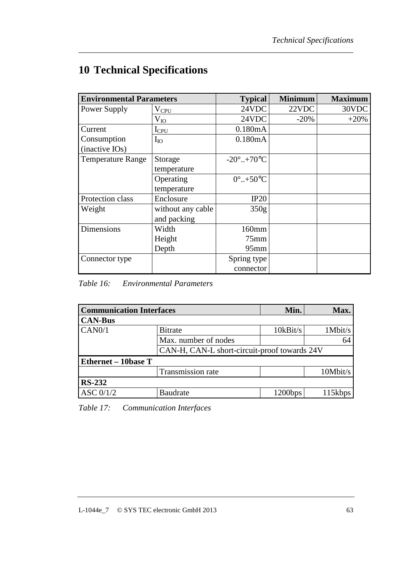# **10 Technical Specifications**

| <b>Environmental Parameters</b> |                   | <b>Typical</b>                 | <b>Minimum</b> | <b>Maximum</b> |
|---------------------------------|-------------------|--------------------------------|----------------|----------------|
| Power Supply                    | $V_{\text{CPU}}$  | 24VDC                          | 22VDC          | 30VDC          |
|                                 | $V_{IO}$          | 24VDC                          | $-20%$         | $+20%$         |
| Current                         | $I_{CPU}$         | 0.180mA                        |                |                |
| Consumption                     | $I_{IO}$          | 0.180mA                        |                |                |
| (inactive IOs)                  |                   |                                |                |                |
| <b>Temperature Range</b>        | Storage           | $-20^{\circ}$ +70 $^{\circ}$ C |                |                |
|                                 | temperature       |                                |                |                |
|                                 | Operating         | $0^{\circ}$ +50 $^{\circ}$ C   |                |                |
|                                 | temperature       |                                |                |                |
| Protection class                | Enclosure         | IP20                           |                |                |
| Weight                          | without any cable | 350 <sub>g</sub>               |                |                |
|                                 | and packing       |                                |                |                |
| <b>Dimensions</b>               | Width             | 160mm                          |                |                |
|                                 | Height            | $75$ mm                        |                |                |
|                                 | Depth             | $95$ mm                        |                |                |
| Connector type                  |                   | Spring type                    |                |                |
|                                 |                   | connector                      |                |                |

*Table 16: Environmental Parameters* 

| <b>Communication Interfaces</b> |                                              | Min.     | Max.     |
|---------------------------------|----------------------------------------------|----------|----------|
| <b>CAN-Bus</b>                  |                                              |          |          |
| CAN0/1                          | <b>Bitrate</b>                               | 10kBit/s | 1Mbit/s  |
|                                 | Max. number of nodes                         |          | 64       |
|                                 | CAN-H, CAN-L short-circuit-proof towards 24V |          |          |
| <b>Ethernet – 10base T</b>      |                                              |          |          |
|                                 | Transmission rate                            |          | 10Mbit/s |
| <b>RS-232</b>                   |                                              |          |          |
| ASC $0/1/2$                     | Baudrate                                     | 1200bps  | 115kbps  |

*Table 17: Communication Interfaces*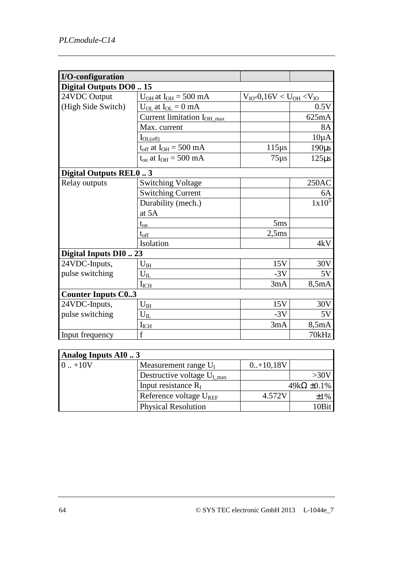| I/O-configuration         |                                        |                                    |            |
|---------------------------|----------------------------------------|------------------------------------|------------|
| Digital Outputs DO0  15   |                                        |                                    |            |
| 24VDC Output              | $U_{OH}$ at $I_{OH} = 500$ mA          | $V_{IO} - 0,16V < U_{OH} < V_{IO}$ |            |
| (High Side Switch)        | $U_{OL}$ at $I_{OL} = 0$ mA            |                                    | 0.5V       |
|                           | Current limitation I <sub>OH_max</sub> |                                    | 625mA      |
|                           | Max. current                           |                                    | <b>8A</b>  |
|                           | $I_{OL(off)}$                          |                                    | $10\mu A$  |
|                           | $t_{off}$ at $I_{OH} = 500$ mA         | $115\mu s$                         | $190\mu s$ |
|                           | $t_{on}$ at $I_{OH} = 500$ mA          | $75\mu s$                          | $125\mu s$ |
| Digital Outputs REL03     |                                        |                                    |            |
| Relay outputs             | <b>Switching Voltage</b>               |                                    | 250AC      |
|                           | <b>Switching Current</b>               |                                    | 6A         |
|                           | Durability (mech.)                     |                                    | $1x10^5$   |
|                           | at 5A                                  |                                    |            |
|                           | $t_{\underline{on}}$                   | 5ms                                |            |
|                           | $t_{\rm off}$                          | 2,5ms                              |            |
|                           | Isolation                              |                                    | 4kV        |
| Digital Inputs DI0  23    |                                        |                                    |            |
| 24VDC-Inputs,             | $U_{\rm IH}$                           | 15V                                | 30V        |
| pulse switching           | $U_{II}$                               | $-3V$                              | 5V         |
|                           | $I_{ICH}$                              | 3mA                                | 8,5mA      |
| <b>Counter Inputs C03</b> |                                        |                                    |            |
| 24VDC-Inputs,             | $U_{\rm IH}$                           | 15V                                | 30V        |
| pulse switching           | $U_{IL}$                               | $-3V$                              | 5V         |
|                           | $I_{ICH}$                              | 3mA                                | 8,5mA      |
| Input frequency           | $\mathbf f$                            |                                    | 70kHz      |

| Analog Inputs AI0 3 |                                         |             |                       |  |  |
|---------------------|-----------------------------------------|-------------|-----------------------|--|--|
| $0. + 10V$          | Measurement range $U_I$                 | $0.+10,18V$ |                       |  |  |
|                     | Destructive voltage $U_{I \text{ max}}$ |             | >30V                  |  |  |
|                     | Input resistance $R_I$                  |             | $49k\Omega \pm 0.1\%$ |  |  |
|                     | Reference voltage $U_{REF}$             | 4.572V      | $\pm 1\%$             |  |  |
|                     | <b>Physical Resolution</b>              |             | 10Bit                 |  |  |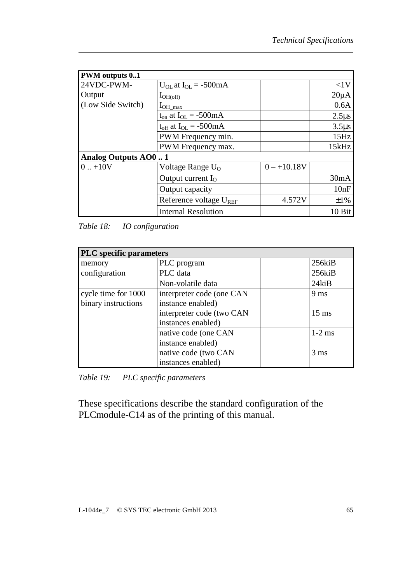| <b>PWM</b> outputs 01 |                                |               |            |  |  |
|-----------------------|--------------------------------|---------------|------------|--|--|
| 24VDC-PWM-            | $U_{OL}$ at $I_{OL} = -500$ mA |               | <1V        |  |  |
| Output                | $I_{OH(off)}$                  |               | $20\mu A$  |  |  |
| (Low Side Switch)     | $I_{OH\_max}$                  |               | 0.6A       |  |  |
|                       | $t_{on}$ at $I_{OL} = -500mA$  |               | $2.5\mu s$ |  |  |
|                       | $t_{off}$ at $I_{OL} = -500mA$ |               | $3.5\mu s$ |  |  |
|                       | PWM Frequency min.             |               | 15Hz       |  |  |
|                       | PWM Frequency max.             |               | 15kHz      |  |  |
| Analog Outputs AO01   |                                |               |            |  |  |
| $0. + 10V$            | Voltage Range $U_0$            | $0 - +10.18V$ |            |  |  |
|                       | Output current $I_{O}$         |               | 30mA       |  |  |
|                       | Output capacity                |               | 10nF       |  |  |
|                       | Reference voltage $U_{REF}$    | 4.572V        | ±1%        |  |  |
|                       | <b>Internal Resolution</b>     |               | 10 Bit     |  |  |

*Table 18: IO configuration* 

| <b>PLC</b> specific parameters |                           |  |                 |  |  |
|--------------------------------|---------------------------|--|-----------------|--|--|
| memory                         | PLC program               |  | $256$ ki $B$    |  |  |
| configuration                  | PLC data                  |  | $256$ ki $B$    |  |  |
|                                | Non-volatile data         |  | $24$ ki $B$     |  |  |
| cycle time for 1000            | interpreter code (one CAN |  | 9 <sub>ms</sub> |  |  |
| binary instructions            | instance enabled)         |  |                 |  |  |
|                                | interpreter code (two CAN |  | $15 \text{ ms}$ |  |  |
|                                | instances enabled)        |  |                 |  |  |
|                                | native code (one CAN      |  | $1-2$ ms        |  |  |
|                                | instance enabled)         |  |                 |  |  |
|                                | native code (two CAN      |  | $3 \text{ ms}$  |  |  |
|                                | instances enabled)        |  |                 |  |  |

*Table 19: PLC specific parameters* 

These specifications describe the standard configuration of the PLCmodule-C14 as of the printing of this manual.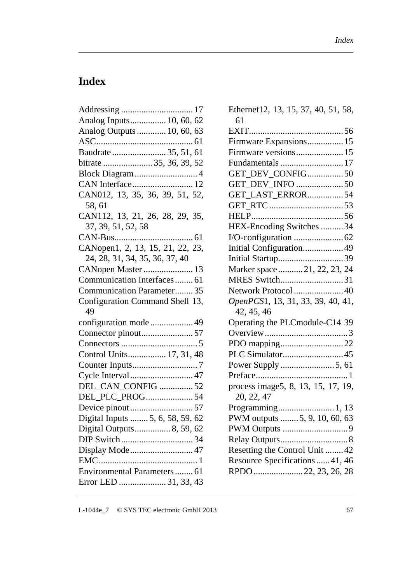## **Index**

| Analog Inputs 10, 60, 62              |  |  |  |  |
|---------------------------------------|--|--|--|--|
| Analog Outputs  10, 60, 63            |  |  |  |  |
|                                       |  |  |  |  |
| Baudrate  35, 51, 61                  |  |  |  |  |
| bitrate  35, 36, 39, 52               |  |  |  |  |
| Block Diagram  4                      |  |  |  |  |
| CAN Interface 12                      |  |  |  |  |
| CAN012, 13, 35, 36, 39, 51, 52,       |  |  |  |  |
| 58, 61                                |  |  |  |  |
| CAN112, 13, 21, 26, 28, 29, 35,       |  |  |  |  |
| 37, 39, 51, 52, 58                    |  |  |  |  |
|                                       |  |  |  |  |
| CANopen1, 2, 13, 15, 21, 22, 23,      |  |  |  |  |
| 24, 28, 31, 34, 35, 36, 37, 40        |  |  |  |  |
| CANopen Master  13                    |  |  |  |  |
| Communication Interfaces 61           |  |  |  |  |
| Communication Parameter 35            |  |  |  |  |
| Configuration Command Shell 13,<br>49 |  |  |  |  |
|                                       |  |  |  |  |
|                                       |  |  |  |  |
|                                       |  |  |  |  |
| Control Units 17, 31, 48              |  |  |  |  |
|                                       |  |  |  |  |
| Cycle Interval 47                     |  |  |  |  |
| DEL_CAN_CONFIG 52                     |  |  |  |  |
| DEL_PLC_PROG54                        |  |  |  |  |
|                                       |  |  |  |  |
| Digital Inputs  5, 6, 58, 59, 62      |  |  |  |  |
| Digital Outputs 8, 59, 62             |  |  |  |  |
|                                       |  |  |  |  |
| Display Mode 47                       |  |  |  |  |
|                                       |  |  |  |  |
| Environmental Parameters 61           |  |  |  |  |
| Error LED  31, 33, 43                 |  |  |  |  |
|                                       |  |  |  |  |

| Ethernet12, 13, 15, 37, 40, 51, 58,<br>61 |
|-------------------------------------------|
|                                           |
| Firmware Expansions 15                    |
| Firmware versions 15                      |
|                                           |
| GET_DEV_CONFIG50                          |
| GET_DEV_INFO 50                           |
| GET_LAST_ERROR54                          |
|                                           |
|                                           |
| HEX-Encoding Switches  34                 |
|                                           |
| Initial Configuration49                   |
|                                           |
| Marker space21, 22, 23, 24                |
| MRES Switch31                             |
| Network Protocol 40                       |
| OpenPCS1, 13, 31, 33, 39, 40, 41,         |
| 42, 45, 46                                |
| Operating the PLCmodule-C14 39            |
|                                           |
| PDO mapping22                             |
|                                           |
|                                           |
|                                           |
| process image5, 8, 13, 15, 17, 19,        |
| 20, 22, 47                                |
| Programming 1, 13                         |
| PWM outputs  5, 9, 10, 60, 63             |
|                                           |
|                                           |
| Resetting the Control Unit  42            |
| Resource Specifications  41, 46           |
| RPDO 22, 23, 26, 28                       |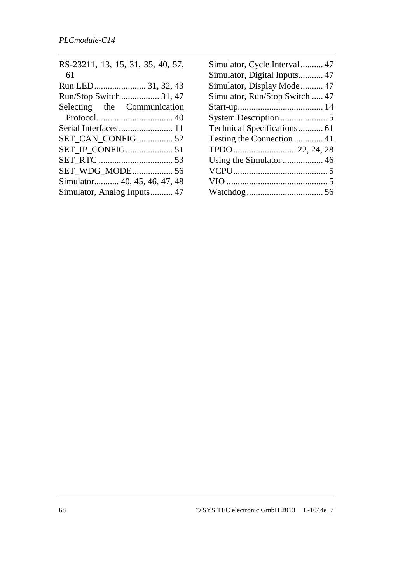| RS-23211, 13, 15, 31, 35, 40, 57, |
|-----------------------------------|
| 61                                |
|                                   |
| Run/Stop Switch 31, 47            |
| Selecting the Communication       |
|                                   |
|                                   |
|                                   |
| <b>SET_IP_CONFIG 51</b>           |
|                                   |
| SET WDG_MODE 56                   |
| Simulator 40, 45, 46, 47, 48      |
| Simulator, Analog Inputs 47       |

| Simulator, Cycle Interval  47  |
|--------------------------------|
| Simulator, Digital Inputs 47   |
| Simulator, Display Mode 47     |
| Simulator, Run/Stop Switch  47 |
|                                |
|                                |
| Technical Specifications 61    |
| Testing the Connection  41     |
|                                |
|                                |
|                                |
|                                |
|                                |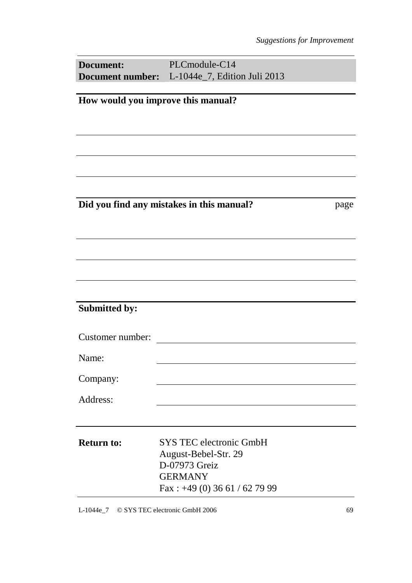| <b>Document:</b>                                  | PLCmodule-C14                                                                                                                |  |  |  |
|---------------------------------------------------|------------------------------------------------------------------------------------------------------------------------------|--|--|--|
|                                                   | <b>Document number:</b> L-1044e_7, Edition Juli 2013                                                                         |  |  |  |
| How would you improve this manual?                |                                                                                                                              |  |  |  |
|                                                   |                                                                                                                              |  |  |  |
|                                                   |                                                                                                                              |  |  |  |
| Did you find any mistakes in this manual?<br>page |                                                                                                                              |  |  |  |
|                                                   |                                                                                                                              |  |  |  |
|                                                   |                                                                                                                              |  |  |  |
|                                                   |                                                                                                                              |  |  |  |
|                                                   |                                                                                                                              |  |  |  |
| <b>Submitted by:</b>                              |                                                                                                                              |  |  |  |
| Customer number:                                  |                                                                                                                              |  |  |  |
| Name:                                             |                                                                                                                              |  |  |  |
| Company:                                          |                                                                                                                              |  |  |  |
| Address:                                          |                                                                                                                              |  |  |  |
|                                                   |                                                                                                                              |  |  |  |
| <b>Return to:</b>                                 | <b>SYS TEC electronic GmbH</b><br>August-Bebel-Str. 29<br>D-07973 Greiz<br><b>GERMANY</b><br>Fax: $+49$ (0) 36 61 / 62 79 99 |  |  |  |